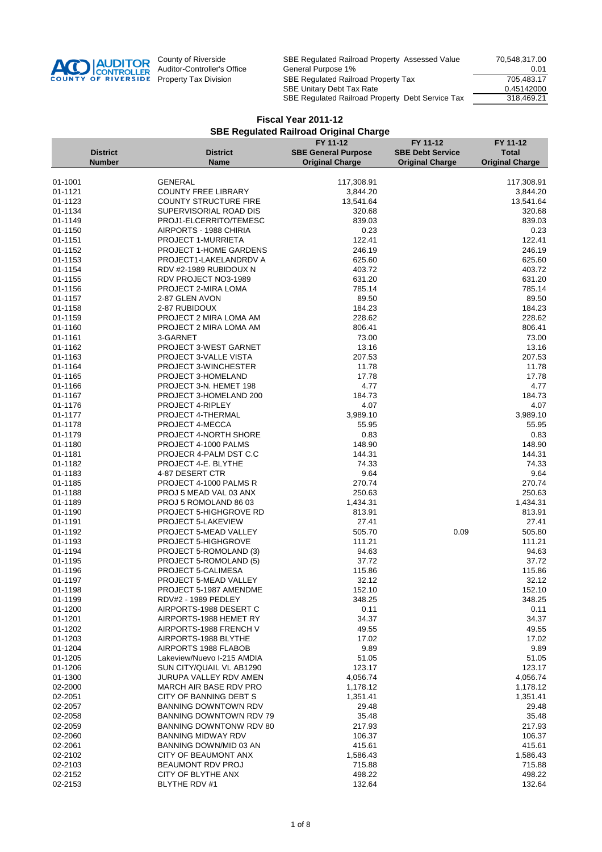

| <b>District</b><br><b>Original Charge</b><br><b>Original Charge</b><br><b>Number</b><br><b>Name</b><br><b>Original Charge</b><br>01-1001<br><b>GENERAL</b><br>117,308.91<br>117,308.91<br><b>COUNTY FREE LIBRARY</b><br>3,844.20<br>01-1121<br>3,844.20<br>01-1123<br><b>COUNTY STRUCTURE FIRE</b><br>13,541.64<br>13,541.64<br>01-1134<br>SUPERVISORIAL ROAD DIS<br>320.68<br>320.68<br>01-1149<br>PROJ1-ELCERRITO/TEMESC<br>839.03<br>839.03<br>01-1150<br>0.23<br>0.23<br>AIRPORTS - 1988 CHIRIA<br>01-1151<br>122.41<br>122.41<br><b>PROJECT 1-MURRIETA</b><br>246.19<br>246.19<br>01-1152<br>PROJECT 1-HOME GARDENS<br>625.60<br>01-1153<br>PROJECT1-LAKELANDRDV A<br>625.60<br>01-1154<br>RDV #2-1989 RUBIDOUX N<br>403.72<br>403.72<br>01-1155<br>631.20<br>631.20<br>RDV PROJECT NO3-1989<br>785.14<br>01-1156<br>785.14<br>PROJECT 2-MIRA LOMA<br>89.50<br>89.50<br>01-1157<br>2-87 GLEN AVON<br>184.23<br>184.23<br>01-1158<br>2-87 RUBIDOUX<br>01-1159<br>PROJECT 2 MIRA LOMA AM<br>228.62<br>228.62<br>806.41<br>806.41<br>01-1160<br>PROJECT 2 MIRA LOMA AM<br>01-1161<br>3-GARNET<br>73.00<br>73.00<br>13.16<br>01-1162<br>PROJECT 3-WEST GARNET<br>13.16<br>207.53<br>01-1163<br>PROJECT 3-VALLE VISTA<br>207.53<br>11.78<br>11.78<br>01-1164<br><b>PROJECT 3-WINCHESTER</b><br>17.78<br>17.78<br>01-1165<br>PROJECT 3-HOMELAND<br>01-1166<br>PROJECT 3-N. HEMET 198<br>4.77<br>4.77<br>184.73<br>01-1167<br>PROJECT 3-HOMELAND 200<br>184.73<br>4.07<br>4.07<br>01-1176<br>PROJECT 4-RIPLEY<br>01-1177<br>PROJECT 4-THERMAL<br>3,989.10<br>3,989.10<br>01-1178<br>PROJECT 4-MECCA<br>55.95<br>55.95<br>01-1179<br>0.83<br>0.83<br><b>PROJECT 4-NORTH SHORE</b><br>148.90<br>01-1180<br>PROJECT 4-1000 PALMS<br>148.90<br>01-1181<br>PROJECR 4-PALM DST C.C<br>144.31<br>144.31<br>PROJECT 4-E. BLYTHE<br>74.33<br>74.33<br>01-1182<br>01-1183<br>9.64<br>9.64<br>4-87 DESERT CTR<br>270.74<br>01-1185<br>270.74<br>PROJECT 4-1000 PALMS R<br>250.63<br>01-1188<br>PROJ 5 MEAD VAL 03 ANX<br>250.63<br>01-1189<br>PROJ 5 ROMOLAND 86 03<br>1,434.31<br>1,434.31<br>813.91<br>01-1190<br>PROJECT 5-HIGHGROVE RD<br>813.91<br>27.41<br>01-1191<br>PROJECT 5-LAKEVIEW<br>27.41<br>505.80<br>505.70<br>0.09<br>01-1192<br>PROJECT 5-MEAD VALLEY<br>111.21<br>01-1193<br>PROJECT 5-HIGHGROVE<br>111.21<br>01-1194<br>PROJECT 5-ROMOLAND (3)<br>94.63<br>94.63<br>37.72<br>37.72<br>01-1195<br>PROJECT 5-ROMOLAND (5)<br>115.86<br>115.86<br>01-1196<br>PROJECT 5-CALIMESA<br>01-1197<br>32.12<br>32.12<br>PROJECT 5-MEAD VALLEY<br>152.10<br>01-1198<br>PROJECT 5-1987 AMENDME<br>152.10<br>01-1199<br>RDV#2 - 1989 PEDLEY<br>348.25<br>348.25<br>01-1200<br>AIRPORTS-1988 DESERT C<br>0.11<br>0.11<br>34.37<br>01-1201<br>AIRPORTS-1988 HEMET RY<br>34.37<br>01-1202<br>AIRPORTS-1988 FRENCH V<br>49.55<br>49.55<br>01-1203<br>AIRPORTS-1988 BLYTHE<br>17.02<br>17.02<br>01-1204<br>AIRPORTS 1988 FLABOB<br>9.89<br>9.89<br>01-1205<br>Lakeview/Nuevo I-215 AMDIA<br>51.05<br>51.05<br>01-1206<br>SUN CITY/QUAIL VL AB1290<br>123.17<br>123.17<br>01-1300<br>JURUPA VALLEY RDV AMEN<br>4,056.74<br>4,056.74<br>02-2000<br>MARCH AIR BASE RDV PRO<br>1,178.12<br>1,178.12<br>02-2051<br>CITY OF BANNING DEBT S<br>1,351.41<br>1,351.41<br>02-2057<br><b>BANNING DOWNTOWN RDV</b><br>29.48<br>29.48<br>35.48<br>02-2058<br>BANNING DOWNTOWN RDV 79<br>35.48<br>02-2059<br>BANNING DOWNTONW RDV 80<br>217.93<br>217.93<br>02-2060<br><b>BANNING MIDWAY RDV</b><br>106.37<br>106.37<br>02-2061<br>BANNING DOWN/MID 03 AN<br>415.61<br>415.61<br>02-2102<br>CITY OF BEAUMONT ANX<br>1,586.43<br>1,586.43<br>02-2103<br><b>BEAUMONT RDV PROJ</b><br>715.88<br>715.88<br>02-2152<br>CITY OF BLYTHE ANX<br>498.22<br>498.22<br>02-2153<br>BLYTHE RDV #1<br>132.64<br>132.64 |                 | FY 11-12                   | FY 11-12                | FY 11-12     |
|--------------------------------------------------------------------------------------------------------------------------------------------------------------------------------------------------------------------------------------------------------------------------------------------------------------------------------------------------------------------------------------------------------------------------------------------------------------------------------------------------------------------------------------------------------------------------------------------------------------------------------------------------------------------------------------------------------------------------------------------------------------------------------------------------------------------------------------------------------------------------------------------------------------------------------------------------------------------------------------------------------------------------------------------------------------------------------------------------------------------------------------------------------------------------------------------------------------------------------------------------------------------------------------------------------------------------------------------------------------------------------------------------------------------------------------------------------------------------------------------------------------------------------------------------------------------------------------------------------------------------------------------------------------------------------------------------------------------------------------------------------------------------------------------------------------------------------------------------------------------------------------------------------------------------------------------------------------------------------------------------------------------------------------------------------------------------------------------------------------------------------------------------------------------------------------------------------------------------------------------------------------------------------------------------------------------------------------------------------------------------------------------------------------------------------------------------------------------------------------------------------------------------------------------------------------------------------------------------------------------------------------------------------------------------------------------------------------------------------------------------------------------------------------------------------------------------------------------------------------------------------------------------------------------------------------------------------------------------------------------------------------------------------------------------------------------------------------------------------------------------------------------------------------------------------------------------------------------------------------------------------------------------------------------------------------------------------------------------------------------------------------------------------------------------------------------------------------------------------------------------------------------------------------------------------------------------------------------------------------------------------------------------------------------------------------------------------------------------------------------------------------------------------|-----------------|----------------------------|-------------------------|--------------|
|                                                                                                                                                                                                                                                                                                                                                                                                                                                                                                                                                                                                                                                                                                                                                                                                                                                                                                                                                                                                                                                                                                                                                                                                                                                                                                                                                                                                                                                                                                                                                                                                                                                                                                                                                                                                                                                                                                                                                                                                                                                                                                                                                                                                                                                                                                                                                                                                                                                                                                                                                                                                                                                                                                                                                                                                                                                                                                                                                                                                                                                                                                                                                                                                                                                                                                                                                                                                                                                                                                                                                                                                                                                                                                                                                                                | <b>District</b> | <b>SBE General Purpose</b> | <b>SBE Debt Service</b> | <b>Total</b> |
|                                                                                                                                                                                                                                                                                                                                                                                                                                                                                                                                                                                                                                                                                                                                                                                                                                                                                                                                                                                                                                                                                                                                                                                                                                                                                                                                                                                                                                                                                                                                                                                                                                                                                                                                                                                                                                                                                                                                                                                                                                                                                                                                                                                                                                                                                                                                                                                                                                                                                                                                                                                                                                                                                                                                                                                                                                                                                                                                                                                                                                                                                                                                                                                                                                                                                                                                                                                                                                                                                                                                                                                                                                                                                                                                                                                |                 |                            |                         |              |
|                                                                                                                                                                                                                                                                                                                                                                                                                                                                                                                                                                                                                                                                                                                                                                                                                                                                                                                                                                                                                                                                                                                                                                                                                                                                                                                                                                                                                                                                                                                                                                                                                                                                                                                                                                                                                                                                                                                                                                                                                                                                                                                                                                                                                                                                                                                                                                                                                                                                                                                                                                                                                                                                                                                                                                                                                                                                                                                                                                                                                                                                                                                                                                                                                                                                                                                                                                                                                                                                                                                                                                                                                                                                                                                                                                                |                 |                            |                         |              |
|                                                                                                                                                                                                                                                                                                                                                                                                                                                                                                                                                                                                                                                                                                                                                                                                                                                                                                                                                                                                                                                                                                                                                                                                                                                                                                                                                                                                                                                                                                                                                                                                                                                                                                                                                                                                                                                                                                                                                                                                                                                                                                                                                                                                                                                                                                                                                                                                                                                                                                                                                                                                                                                                                                                                                                                                                                                                                                                                                                                                                                                                                                                                                                                                                                                                                                                                                                                                                                                                                                                                                                                                                                                                                                                                                                                |                 |                            |                         |              |
|                                                                                                                                                                                                                                                                                                                                                                                                                                                                                                                                                                                                                                                                                                                                                                                                                                                                                                                                                                                                                                                                                                                                                                                                                                                                                                                                                                                                                                                                                                                                                                                                                                                                                                                                                                                                                                                                                                                                                                                                                                                                                                                                                                                                                                                                                                                                                                                                                                                                                                                                                                                                                                                                                                                                                                                                                                                                                                                                                                                                                                                                                                                                                                                                                                                                                                                                                                                                                                                                                                                                                                                                                                                                                                                                                                                |                 |                            |                         |              |
|                                                                                                                                                                                                                                                                                                                                                                                                                                                                                                                                                                                                                                                                                                                                                                                                                                                                                                                                                                                                                                                                                                                                                                                                                                                                                                                                                                                                                                                                                                                                                                                                                                                                                                                                                                                                                                                                                                                                                                                                                                                                                                                                                                                                                                                                                                                                                                                                                                                                                                                                                                                                                                                                                                                                                                                                                                                                                                                                                                                                                                                                                                                                                                                                                                                                                                                                                                                                                                                                                                                                                                                                                                                                                                                                                                                |                 |                            |                         |              |
|                                                                                                                                                                                                                                                                                                                                                                                                                                                                                                                                                                                                                                                                                                                                                                                                                                                                                                                                                                                                                                                                                                                                                                                                                                                                                                                                                                                                                                                                                                                                                                                                                                                                                                                                                                                                                                                                                                                                                                                                                                                                                                                                                                                                                                                                                                                                                                                                                                                                                                                                                                                                                                                                                                                                                                                                                                                                                                                                                                                                                                                                                                                                                                                                                                                                                                                                                                                                                                                                                                                                                                                                                                                                                                                                                                                |                 |                            |                         |              |
|                                                                                                                                                                                                                                                                                                                                                                                                                                                                                                                                                                                                                                                                                                                                                                                                                                                                                                                                                                                                                                                                                                                                                                                                                                                                                                                                                                                                                                                                                                                                                                                                                                                                                                                                                                                                                                                                                                                                                                                                                                                                                                                                                                                                                                                                                                                                                                                                                                                                                                                                                                                                                                                                                                                                                                                                                                                                                                                                                                                                                                                                                                                                                                                                                                                                                                                                                                                                                                                                                                                                                                                                                                                                                                                                                                                |                 |                            |                         |              |
|                                                                                                                                                                                                                                                                                                                                                                                                                                                                                                                                                                                                                                                                                                                                                                                                                                                                                                                                                                                                                                                                                                                                                                                                                                                                                                                                                                                                                                                                                                                                                                                                                                                                                                                                                                                                                                                                                                                                                                                                                                                                                                                                                                                                                                                                                                                                                                                                                                                                                                                                                                                                                                                                                                                                                                                                                                                                                                                                                                                                                                                                                                                                                                                                                                                                                                                                                                                                                                                                                                                                                                                                                                                                                                                                                                                |                 |                            |                         |              |
|                                                                                                                                                                                                                                                                                                                                                                                                                                                                                                                                                                                                                                                                                                                                                                                                                                                                                                                                                                                                                                                                                                                                                                                                                                                                                                                                                                                                                                                                                                                                                                                                                                                                                                                                                                                                                                                                                                                                                                                                                                                                                                                                                                                                                                                                                                                                                                                                                                                                                                                                                                                                                                                                                                                                                                                                                                                                                                                                                                                                                                                                                                                                                                                                                                                                                                                                                                                                                                                                                                                                                                                                                                                                                                                                                                                |                 |                            |                         |              |
|                                                                                                                                                                                                                                                                                                                                                                                                                                                                                                                                                                                                                                                                                                                                                                                                                                                                                                                                                                                                                                                                                                                                                                                                                                                                                                                                                                                                                                                                                                                                                                                                                                                                                                                                                                                                                                                                                                                                                                                                                                                                                                                                                                                                                                                                                                                                                                                                                                                                                                                                                                                                                                                                                                                                                                                                                                                                                                                                                                                                                                                                                                                                                                                                                                                                                                                                                                                                                                                                                                                                                                                                                                                                                                                                                                                |                 |                            |                         |              |
|                                                                                                                                                                                                                                                                                                                                                                                                                                                                                                                                                                                                                                                                                                                                                                                                                                                                                                                                                                                                                                                                                                                                                                                                                                                                                                                                                                                                                                                                                                                                                                                                                                                                                                                                                                                                                                                                                                                                                                                                                                                                                                                                                                                                                                                                                                                                                                                                                                                                                                                                                                                                                                                                                                                                                                                                                                                                                                                                                                                                                                                                                                                                                                                                                                                                                                                                                                                                                                                                                                                                                                                                                                                                                                                                                                                |                 |                            |                         |              |
|                                                                                                                                                                                                                                                                                                                                                                                                                                                                                                                                                                                                                                                                                                                                                                                                                                                                                                                                                                                                                                                                                                                                                                                                                                                                                                                                                                                                                                                                                                                                                                                                                                                                                                                                                                                                                                                                                                                                                                                                                                                                                                                                                                                                                                                                                                                                                                                                                                                                                                                                                                                                                                                                                                                                                                                                                                                                                                                                                                                                                                                                                                                                                                                                                                                                                                                                                                                                                                                                                                                                                                                                                                                                                                                                                                                |                 |                            |                         |              |
|                                                                                                                                                                                                                                                                                                                                                                                                                                                                                                                                                                                                                                                                                                                                                                                                                                                                                                                                                                                                                                                                                                                                                                                                                                                                                                                                                                                                                                                                                                                                                                                                                                                                                                                                                                                                                                                                                                                                                                                                                                                                                                                                                                                                                                                                                                                                                                                                                                                                                                                                                                                                                                                                                                                                                                                                                                                                                                                                                                                                                                                                                                                                                                                                                                                                                                                                                                                                                                                                                                                                                                                                                                                                                                                                                                                |                 |                            |                         |              |
|                                                                                                                                                                                                                                                                                                                                                                                                                                                                                                                                                                                                                                                                                                                                                                                                                                                                                                                                                                                                                                                                                                                                                                                                                                                                                                                                                                                                                                                                                                                                                                                                                                                                                                                                                                                                                                                                                                                                                                                                                                                                                                                                                                                                                                                                                                                                                                                                                                                                                                                                                                                                                                                                                                                                                                                                                                                                                                                                                                                                                                                                                                                                                                                                                                                                                                                                                                                                                                                                                                                                                                                                                                                                                                                                                                                |                 |                            |                         |              |
|                                                                                                                                                                                                                                                                                                                                                                                                                                                                                                                                                                                                                                                                                                                                                                                                                                                                                                                                                                                                                                                                                                                                                                                                                                                                                                                                                                                                                                                                                                                                                                                                                                                                                                                                                                                                                                                                                                                                                                                                                                                                                                                                                                                                                                                                                                                                                                                                                                                                                                                                                                                                                                                                                                                                                                                                                                                                                                                                                                                                                                                                                                                                                                                                                                                                                                                                                                                                                                                                                                                                                                                                                                                                                                                                                                                |                 |                            |                         |              |
|                                                                                                                                                                                                                                                                                                                                                                                                                                                                                                                                                                                                                                                                                                                                                                                                                                                                                                                                                                                                                                                                                                                                                                                                                                                                                                                                                                                                                                                                                                                                                                                                                                                                                                                                                                                                                                                                                                                                                                                                                                                                                                                                                                                                                                                                                                                                                                                                                                                                                                                                                                                                                                                                                                                                                                                                                                                                                                                                                                                                                                                                                                                                                                                                                                                                                                                                                                                                                                                                                                                                                                                                                                                                                                                                                                                |                 |                            |                         |              |
|                                                                                                                                                                                                                                                                                                                                                                                                                                                                                                                                                                                                                                                                                                                                                                                                                                                                                                                                                                                                                                                                                                                                                                                                                                                                                                                                                                                                                                                                                                                                                                                                                                                                                                                                                                                                                                                                                                                                                                                                                                                                                                                                                                                                                                                                                                                                                                                                                                                                                                                                                                                                                                                                                                                                                                                                                                                                                                                                                                                                                                                                                                                                                                                                                                                                                                                                                                                                                                                                                                                                                                                                                                                                                                                                                                                |                 |                            |                         |              |
|                                                                                                                                                                                                                                                                                                                                                                                                                                                                                                                                                                                                                                                                                                                                                                                                                                                                                                                                                                                                                                                                                                                                                                                                                                                                                                                                                                                                                                                                                                                                                                                                                                                                                                                                                                                                                                                                                                                                                                                                                                                                                                                                                                                                                                                                                                                                                                                                                                                                                                                                                                                                                                                                                                                                                                                                                                                                                                                                                                                                                                                                                                                                                                                                                                                                                                                                                                                                                                                                                                                                                                                                                                                                                                                                                                                |                 |                            |                         |              |
|                                                                                                                                                                                                                                                                                                                                                                                                                                                                                                                                                                                                                                                                                                                                                                                                                                                                                                                                                                                                                                                                                                                                                                                                                                                                                                                                                                                                                                                                                                                                                                                                                                                                                                                                                                                                                                                                                                                                                                                                                                                                                                                                                                                                                                                                                                                                                                                                                                                                                                                                                                                                                                                                                                                                                                                                                                                                                                                                                                                                                                                                                                                                                                                                                                                                                                                                                                                                                                                                                                                                                                                                                                                                                                                                                                                |                 |                            |                         |              |
|                                                                                                                                                                                                                                                                                                                                                                                                                                                                                                                                                                                                                                                                                                                                                                                                                                                                                                                                                                                                                                                                                                                                                                                                                                                                                                                                                                                                                                                                                                                                                                                                                                                                                                                                                                                                                                                                                                                                                                                                                                                                                                                                                                                                                                                                                                                                                                                                                                                                                                                                                                                                                                                                                                                                                                                                                                                                                                                                                                                                                                                                                                                                                                                                                                                                                                                                                                                                                                                                                                                                                                                                                                                                                                                                                                                |                 |                            |                         |              |
|                                                                                                                                                                                                                                                                                                                                                                                                                                                                                                                                                                                                                                                                                                                                                                                                                                                                                                                                                                                                                                                                                                                                                                                                                                                                                                                                                                                                                                                                                                                                                                                                                                                                                                                                                                                                                                                                                                                                                                                                                                                                                                                                                                                                                                                                                                                                                                                                                                                                                                                                                                                                                                                                                                                                                                                                                                                                                                                                                                                                                                                                                                                                                                                                                                                                                                                                                                                                                                                                                                                                                                                                                                                                                                                                                                                |                 |                            |                         |              |
|                                                                                                                                                                                                                                                                                                                                                                                                                                                                                                                                                                                                                                                                                                                                                                                                                                                                                                                                                                                                                                                                                                                                                                                                                                                                                                                                                                                                                                                                                                                                                                                                                                                                                                                                                                                                                                                                                                                                                                                                                                                                                                                                                                                                                                                                                                                                                                                                                                                                                                                                                                                                                                                                                                                                                                                                                                                                                                                                                                                                                                                                                                                                                                                                                                                                                                                                                                                                                                                                                                                                                                                                                                                                                                                                                                                |                 |                            |                         |              |
|                                                                                                                                                                                                                                                                                                                                                                                                                                                                                                                                                                                                                                                                                                                                                                                                                                                                                                                                                                                                                                                                                                                                                                                                                                                                                                                                                                                                                                                                                                                                                                                                                                                                                                                                                                                                                                                                                                                                                                                                                                                                                                                                                                                                                                                                                                                                                                                                                                                                                                                                                                                                                                                                                                                                                                                                                                                                                                                                                                                                                                                                                                                                                                                                                                                                                                                                                                                                                                                                                                                                                                                                                                                                                                                                                                                |                 |                            |                         |              |
|                                                                                                                                                                                                                                                                                                                                                                                                                                                                                                                                                                                                                                                                                                                                                                                                                                                                                                                                                                                                                                                                                                                                                                                                                                                                                                                                                                                                                                                                                                                                                                                                                                                                                                                                                                                                                                                                                                                                                                                                                                                                                                                                                                                                                                                                                                                                                                                                                                                                                                                                                                                                                                                                                                                                                                                                                                                                                                                                                                                                                                                                                                                                                                                                                                                                                                                                                                                                                                                                                                                                                                                                                                                                                                                                                                                |                 |                            |                         |              |
|                                                                                                                                                                                                                                                                                                                                                                                                                                                                                                                                                                                                                                                                                                                                                                                                                                                                                                                                                                                                                                                                                                                                                                                                                                                                                                                                                                                                                                                                                                                                                                                                                                                                                                                                                                                                                                                                                                                                                                                                                                                                                                                                                                                                                                                                                                                                                                                                                                                                                                                                                                                                                                                                                                                                                                                                                                                                                                                                                                                                                                                                                                                                                                                                                                                                                                                                                                                                                                                                                                                                                                                                                                                                                                                                                                                |                 |                            |                         |              |
|                                                                                                                                                                                                                                                                                                                                                                                                                                                                                                                                                                                                                                                                                                                                                                                                                                                                                                                                                                                                                                                                                                                                                                                                                                                                                                                                                                                                                                                                                                                                                                                                                                                                                                                                                                                                                                                                                                                                                                                                                                                                                                                                                                                                                                                                                                                                                                                                                                                                                                                                                                                                                                                                                                                                                                                                                                                                                                                                                                                                                                                                                                                                                                                                                                                                                                                                                                                                                                                                                                                                                                                                                                                                                                                                                                                |                 |                            |                         |              |
|                                                                                                                                                                                                                                                                                                                                                                                                                                                                                                                                                                                                                                                                                                                                                                                                                                                                                                                                                                                                                                                                                                                                                                                                                                                                                                                                                                                                                                                                                                                                                                                                                                                                                                                                                                                                                                                                                                                                                                                                                                                                                                                                                                                                                                                                                                                                                                                                                                                                                                                                                                                                                                                                                                                                                                                                                                                                                                                                                                                                                                                                                                                                                                                                                                                                                                                                                                                                                                                                                                                                                                                                                                                                                                                                                                                |                 |                            |                         |              |
|                                                                                                                                                                                                                                                                                                                                                                                                                                                                                                                                                                                                                                                                                                                                                                                                                                                                                                                                                                                                                                                                                                                                                                                                                                                                                                                                                                                                                                                                                                                                                                                                                                                                                                                                                                                                                                                                                                                                                                                                                                                                                                                                                                                                                                                                                                                                                                                                                                                                                                                                                                                                                                                                                                                                                                                                                                                                                                                                                                                                                                                                                                                                                                                                                                                                                                                                                                                                                                                                                                                                                                                                                                                                                                                                                                                |                 |                            |                         |              |
|                                                                                                                                                                                                                                                                                                                                                                                                                                                                                                                                                                                                                                                                                                                                                                                                                                                                                                                                                                                                                                                                                                                                                                                                                                                                                                                                                                                                                                                                                                                                                                                                                                                                                                                                                                                                                                                                                                                                                                                                                                                                                                                                                                                                                                                                                                                                                                                                                                                                                                                                                                                                                                                                                                                                                                                                                                                                                                                                                                                                                                                                                                                                                                                                                                                                                                                                                                                                                                                                                                                                                                                                                                                                                                                                                                                |                 |                            |                         |              |
|                                                                                                                                                                                                                                                                                                                                                                                                                                                                                                                                                                                                                                                                                                                                                                                                                                                                                                                                                                                                                                                                                                                                                                                                                                                                                                                                                                                                                                                                                                                                                                                                                                                                                                                                                                                                                                                                                                                                                                                                                                                                                                                                                                                                                                                                                                                                                                                                                                                                                                                                                                                                                                                                                                                                                                                                                                                                                                                                                                                                                                                                                                                                                                                                                                                                                                                                                                                                                                                                                                                                                                                                                                                                                                                                                                                |                 |                            |                         |              |
|                                                                                                                                                                                                                                                                                                                                                                                                                                                                                                                                                                                                                                                                                                                                                                                                                                                                                                                                                                                                                                                                                                                                                                                                                                                                                                                                                                                                                                                                                                                                                                                                                                                                                                                                                                                                                                                                                                                                                                                                                                                                                                                                                                                                                                                                                                                                                                                                                                                                                                                                                                                                                                                                                                                                                                                                                                                                                                                                                                                                                                                                                                                                                                                                                                                                                                                                                                                                                                                                                                                                                                                                                                                                                                                                                                                |                 |                            |                         |              |
|                                                                                                                                                                                                                                                                                                                                                                                                                                                                                                                                                                                                                                                                                                                                                                                                                                                                                                                                                                                                                                                                                                                                                                                                                                                                                                                                                                                                                                                                                                                                                                                                                                                                                                                                                                                                                                                                                                                                                                                                                                                                                                                                                                                                                                                                                                                                                                                                                                                                                                                                                                                                                                                                                                                                                                                                                                                                                                                                                                                                                                                                                                                                                                                                                                                                                                                                                                                                                                                                                                                                                                                                                                                                                                                                                                                |                 |                            |                         |              |
|                                                                                                                                                                                                                                                                                                                                                                                                                                                                                                                                                                                                                                                                                                                                                                                                                                                                                                                                                                                                                                                                                                                                                                                                                                                                                                                                                                                                                                                                                                                                                                                                                                                                                                                                                                                                                                                                                                                                                                                                                                                                                                                                                                                                                                                                                                                                                                                                                                                                                                                                                                                                                                                                                                                                                                                                                                                                                                                                                                                                                                                                                                                                                                                                                                                                                                                                                                                                                                                                                                                                                                                                                                                                                                                                                                                |                 |                            |                         |              |
|                                                                                                                                                                                                                                                                                                                                                                                                                                                                                                                                                                                                                                                                                                                                                                                                                                                                                                                                                                                                                                                                                                                                                                                                                                                                                                                                                                                                                                                                                                                                                                                                                                                                                                                                                                                                                                                                                                                                                                                                                                                                                                                                                                                                                                                                                                                                                                                                                                                                                                                                                                                                                                                                                                                                                                                                                                                                                                                                                                                                                                                                                                                                                                                                                                                                                                                                                                                                                                                                                                                                                                                                                                                                                                                                                                                |                 |                            |                         |              |
|                                                                                                                                                                                                                                                                                                                                                                                                                                                                                                                                                                                                                                                                                                                                                                                                                                                                                                                                                                                                                                                                                                                                                                                                                                                                                                                                                                                                                                                                                                                                                                                                                                                                                                                                                                                                                                                                                                                                                                                                                                                                                                                                                                                                                                                                                                                                                                                                                                                                                                                                                                                                                                                                                                                                                                                                                                                                                                                                                                                                                                                                                                                                                                                                                                                                                                                                                                                                                                                                                                                                                                                                                                                                                                                                                                                |                 |                            |                         |              |
|                                                                                                                                                                                                                                                                                                                                                                                                                                                                                                                                                                                                                                                                                                                                                                                                                                                                                                                                                                                                                                                                                                                                                                                                                                                                                                                                                                                                                                                                                                                                                                                                                                                                                                                                                                                                                                                                                                                                                                                                                                                                                                                                                                                                                                                                                                                                                                                                                                                                                                                                                                                                                                                                                                                                                                                                                                                                                                                                                                                                                                                                                                                                                                                                                                                                                                                                                                                                                                                                                                                                                                                                                                                                                                                                                                                |                 |                            |                         |              |
|                                                                                                                                                                                                                                                                                                                                                                                                                                                                                                                                                                                                                                                                                                                                                                                                                                                                                                                                                                                                                                                                                                                                                                                                                                                                                                                                                                                                                                                                                                                                                                                                                                                                                                                                                                                                                                                                                                                                                                                                                                                                                                                                                                                                                                                                                                                                                                                                                                                                                                                                                                                                                                                                                                                                                                                                                                                                                                                                                                                                                                                                                                                                                                                                                                                                                                                                                                                                                                                                                                                                                                                                                                                                                                                                                                                |                 |                            |                         |              |
|                                                                                                                                                                                                                                                                                                                                                                                                                                                                                                                                                                                                                                                                                                                                                                                                                                                                                                                                                                                                                                                                                                                                                                                                                                                                                                                                                                                                                                                                                                                                                                                                                                                                                                                                                                                                                                                                                                                                                                                                                                                                                                                                                                                                                                                                                                                                                                                                                                                                                                                                                                                                                                                                                                                                                                                                                                                                                                                                                                                                                                                                                                                                                                                                                                                                                                                                                                                                                                                                                                                                                                                                                                                                                                                                                                                |                 |                            |                         |              |
|                                                                                                                                                                                                                                                                                                                                                                                                                                                                                                                                                                                                                                                                                                                                                                                                                                                                                                                                                                                                                                                                                                                                                                                                                                                                                                                                                                                                                                                                                                                                                                                                                                                                                                                                                                                                                                                                                                                                                                                                                                                                                                                                                                                                                                                                                                                                                                                                                                                                                                                                                                                                                                                                                                                                                                                                                                                                                                                                                                                                                                                                                                                                                                                                                                                                                                                                                                                                                                                                                                                                                                                                                                                                                                                                                                                |                 |                            |                         |              |
|                                                                                                                                                                                                                                                                                                                                                                                                                                                                                                                                                                                                                                                                                                                                                                                                                                                                                                                                                                                                                                                                                                                                                                                                                                                                                                                                                                                                                                                                                                                                                                                                                                                                                                                                                                                                                                                                                                                                                                                                                                                                                                                                                                                                                                                                                                                                                                                                                                                                                                                                                                                                                                                                                                                                                                                                                                                                                                                                                                                                                                                                                                                                                                                                                                                                                                                                                                                                                                                                                                                                                                                                                                                                                                                                                                                |                 |                            |                         |              |
|                                                                                                                                                                                                                                                                                                                                                                                                                                                                                                                                                                                                                                                                                                                                                                                                                                                                                                                                                                                                                                                                                                                                                                                                                                                                                                                                                                                                                                                                                                                                                                                                                                                                                                                                                                                                                                                                                                                                                                                                                                                                                                                                                                                                                                                                                                                                                                                                                                                                                                                                                                                                                                                                                                                                                                                                                                                                                                                                                                                                                                                                                                                                                                                                                                                                                                                                                                                                                                                                                                                                                                                                                                                                                                                                                                                |                 |                            |                         |              |
|                                                                                                                                                                                                                                                                                                                                                                                                                                                                                                                                                                                                                                                                                                                                                                                                                                                                                                                                                                                                                                                                                                                                                                                                                                                                                                                                                                                                                                                                                                                                                                                                                                                                                                                                                                                                                                                                                                                                                                                                                                                                                                                                                                                                                                                                                                                                                                                                                                                                                                                                                                                                                                                                                                                                                                                                                                                                                                                                                                                                                                                                                                                                                                                                                                                                                                                                                                                                                                                                                                                                                                                                                                                                                                                                                                                |                 |                            |                         |              |
|                                                                                                                                                                                                                                                                                                                                                                                                                                                                                                                                                                                                                                                                                                                                                                                                                                                                                                                                                                                                                                                                                                                                                                                                                                                                                                                                                                                                                                                                                                                                                                                                                                                                                                                                                                                                                                                                                                                                                                                                                                                                                                                                                                                                                                                                                                                                                                                                                                                                                                                                                                                                                                                                                                                                                                                                                                                                                                                                                                                                                                                                                                                                                                                                                                                                                                                                                                                                                                                                                                                                                                                                                                                                                                                                                                                |                 |                            |                         |              |
|                                                                                                                                                                                                                                                                                                                                                                                                                                                                                                                                                                                                                                                                                                                                                                                                                                                                                                                                                                                                                                                                                                                                                                                                                                                                                                                                                                                                                                                                                                                                                                                                                                                                                                                                                                                                                                                                                                                                                                                                                                                                                                                                                                                                                                                                                                                                                                                                                                                                                                                                                                                                                                                                                                                                                                                                                                                                                                                                                                                                                                                                                                                                                                                                                                                                                                                                                                                                                                                                                                                                                                                                                                                                                                                                                                                |                 |                            |                         |              |
|                                                                                                                                                                                                                                                                                                                                                                                                                                                                                                                                                                                                                                                                                                                                                                                                                                                                                                                                                                                                                                                                                                                                                                                                                                                                                                                                                                                                                                                                                                                                                                                                                                                                                                                                                                                                                                                                                                                                                                                                                                                                                                                                                                                                                                                                                                                                                                                                                                                                                                                                                                                                                                                                                                                                                                                                                                                                                                                                                                                                                                                                                                                                                                                                                                                                                                                                                                                                                                                                                                                                                                                                                                                                                                                                                                                |                 |                            |                         |              |
|                                                                                                                                                                                                                                                                                                                                                                                                                                                                                                                                                                                                                                                                                                                                                                                                                                                                                                                                                                                                                                                                                                                                                                                                                                                                                                                                                                                                                                                                                                                                                                                                                                                                                                                                                                                                                                                                                                                                                                                                                                                                                                                                                                                                                                                                                                                                                                                                                                                                                                                                                                                                                                                                                                                                                                                                                                                                                                                                                                                                                                                                                                                                                                                                                                                                                                                                                                                                                                                                                                                                                                                                                                                                                                                                                                                |                 |                            |                         |              |
|                                                                                                                                                                                                                                                                                                                                                                                                                                                                                                                                                                                                                                                                                                                                                                                                                                                                                                                                                                                                                                                                                                                                                                                                                                                                                                                                                                                                                                                                                                                                                                                                                                                                                                                                                                                                                                                                                                                                                                                                                                                                                                                                                                                                                                                                                                                                                                                                                                                                                                                                                                                                                                                                                                                                                                                                                                                                                                                                                                                                                                                                                                                                                                                                                                                                                                                                                                                                                                                                                                                                                                                                                                                                                                                                                                                |                 |                            |                         |              |
|                                                                                                                                                                                                                                                                                                                                                                                                                                                                                                                                                                                                                                                                                                                                                                                                                                                                                                                                                                                                                                                                                                                                                                                                                                                                                                                                                                                                                                                                                                                                                                                                                                                                                                                                                                                                                                                                                                                                                                                                                                                                                                                                                                                                                                                                                                                                                                                                                                                                                                                                                                                                                                                                                                                                                                                                                                                                                                                                                                                                                                                                                                                                                                                                                                                                                                                                                                                                                                                                                                                                                                                                                                                                                                                                                                                |                 |                            |                         |              |
|                                                                                                                                                                                                                                                                                                                                                                                                                                                                                                                                                                                                                                                                                                                                                                                                                                                                                                                                                                                                                                                                                                                                                                                                                                                                                                                                                                                                                                                                                                                                                                                                                                                                                                                                                                                                                                                                                                                                                                                                                                                                                                                                                                                                                                                                                                                                                                                                                                                                                                                                                                                                                                                                                                                                                                                                                                                                                                                                                                                                                                                                                                                                                                                                                                                                                                                                                                                                                                                                                                                                                                                                                                                                                                                                                                                |                 |                            |                         |              |
|                                                                                                                                                                                                                                                                                                                                                                                                                                                                                                                                                                                                                                                                                                                                                                                                                                                                                                                                                                                                                                                                                                                                                                                                                                                                                                                                                                                                                                                                                                                                                                                                                                                                                                                                                                                                                                                                                                                                                                                                                                                                                                                                                                                                                                                                                                                                                                                                                                                                                                                                                                                                                                                                                                                                                                                                                                                                                                                                                                                                                                                                                                                                                                                                                                                                                                                                                                                                                                                                                                                                                                                                                                                                                                                                                                                |                 |                            |                         |              |
|                                                                                                                                                                                                                                                                                                                                                                                                                                                                                                                                                                                                                                                                                                                                                                                                                                                                                                                                                                                                                                                                                                                                                                                                                                                                                                                                                                                                                                                                                                                                                                                                                                                                                                                                                                                                                                                                                                                                                                                                                                                                                                                                                                                                                                                                                                                                                                                                                                                                                                                                                                                                                                                                                                                                                                                                                                                                                                                                                                                                                                                                                                                                                                                                                                                                                                                                                                                                                                                                                                                                                                                                                                                                                                                                                                                |                 |                            |                         |              |
|                                                                                                                                                                                                                                                                                                                                                                                                                                                                                                                                                                                                                                                                                                                                                                                                                                                                                                                                                                                                                                                                                                                                                                                                                                                                                                                                                                                                                                                                                                                                                                                                                                                                                                                                                                                                                                                                                                                                                                                                                                                                                                                                                                                                                                                                                                                                                                                                                                                                                                                                                                                                                                                                                                                                                                                                                                                                                                                                                                                                                                                                                                                                                                                                                                                                                                                                                                                                                                                                                                                                                                                                                                                                                                                                                                                |                 |                            |                         |              |
|                                                                                                                                                                                                                                                                                                                                                                                                                                                                                                                                                                                                                                                                                                                                                                                                                                                                                                                                                                                                                                                                                                                                                                                                                                                                                                                                                                                                                                                                                                                                                                                                                                                                                                                                                                                                                                                                                                                                                                                                                                                                                                                                                                                                                                                                                                                                                                                                                                                                                                                                                                                                                                                                                                                                                                                                                                                                                                                                                                                                                                                                                                                                                                                                                                                                                                                                                                                                                                                                                                                                                                                                                                                                                                                                                                                |                 |                            |                         |              |
|                                                                                                                                                                                                                                                                                                                                                                                                                                                                                                                                                                                                                                                                                                                                                                                                                                                                                                                                                                                                                                                                                                                                                                                                                                                                                                                                                                                                                                                                                                                                                                                                                                                                                                                                                                                                                                                                                                                                                                                                                                                                                                                                                                                                                                                                                                                                                                                                                                                                                                                                                                                                                                                                                                                                                                                                                                                                                                                                                                                                                                                                                                                                                                                                                                                                                                                                                                                                                                                                                                                                                                                                                                                                                                                                                                                |                 |                            |                         |              |
|                                                                                                                                                                                                                                                                                                                                                                                                                                                                                                                                                                                                                                                                                                                                                                                                                                                                                                                                                                                                                                                                                                                                                                                                                                                                                                                                                                                                                                                                                                                                                                                                                                                                                                                                                                                                                                                                                                                                                                                                                                                                                                                                                                                                                                                                                                                                                                                                                                                                                                                                                                                                                                                                                                                                                                                                                                                                                                                                                                                                                                                                                                                                                                                                                                                                                                                                                                                                                                                                                                                                                                                                                                                                                                                                                                                |                 |                            |                         |              |
|                                                                                                                                                                                                                                                                                                                                                                                                                                                                                                                                                                                                                                                                                                                                                                                                                                                                                                                                                                                                                                                                                                                                                                                                                                                                                                                                                                                                                                                                                                                                                                                                                                                                                                                                                                                                                                                                                                                                                                                                                                                                                                                                                                                                                                                                                                                                                                                                                                                                                                                                                                                                                                                                                                                                                                                                                                                                                                                                                                                                                                                                                                                                                                                                                                                                                                                                                                                                                                                                                                                                                                                                                                                                                                                                                                                |                 |                            |                         |              |
|                                                                                                                                                                                                                                                                                                                                                                                                                                                                                                                                                                                                                                                                                                                                                                                                                                                                                                                                                                                                                                                                                                                                                                                                                                                                                                                                                                                                                                                                                                                                                                                                                                                                                                                                                                                                                                                                                                                                                                                                                                                                                                                                                                                                                                                                                                                                                                                                                                                                                                                                                                                                                                                                                                                                                                                                                                                                                                                                                                                                                                                                                                                                                                                                                                                                                                                                                                                                                                                                                                                                                                                                                                                                                                                                                                                |                 |                            |                         |              |
|                                                                                                                                                                                                                                                                                                                                                                                                                                                                                                                                                                                                                                                                                                                                                                                                                                                                                                                                                                                                                                                                                                                                                                                                                                                                                                                                                                                                                                                                                                                                                                                                                                                                                                                                                                                                                                                                                                                                                                                                                                                                                                                                                                                                                                                                                                                                                                                                                                                                                                                                                                                                                                                                                                                                                                                                                                                                                                                                                                                                                                                                                                                                                                                                                                                                                                                                                                                                                                                                                                                                                                                                                                                                                                                                                                                |                 |                            |                         |              |
|                                                                                                                                                                                                                                                                                                                                                                                                                                                                                                                                                                                                                                                                                                                                                                                                                                                                                                                                                                                                                                                                                                                                                                                                                                                                                                                                                                                                                                                                                                                                                                                                                                                                                                                                                                                                                                                                                                                                                                                                                                                                                                                                                                                                                                                                                                                                                                                                                                                                                                                                                                                                                                                                                                                                                                                                                                                                                                                                                                                                                                                                                                                                                                                                                                                                                                                                                                                                                                                                                                                                                                                                                                                                                                                                                                                |                 |                            |                         |              |
|                                                                                                                                                                                                                                                                                                                                                                                                                                                                                                                                                                                                                                                                                                                                                                                                                                                                                                                                                                                                                                                                                                                                                                                                                                                                                                                                                                                                                                                                                                                                                                                                                                                                                                                                                                                                                                                                                                                                                                                                                                                                                                                                                                                                                                                                                                                                                                                                                                                                                                                                                                                                                                                                                                                                                                                                                                                                                                                                                                                                                                                                                                                                                                                                                                                                                                                                                                                                                                                                                                                                                                                                                                                                                                                                                                                |                 |                            |                         |              |
|                                                                                                                                                                                                                                                                                                                                                                                                                                                                                                                                                                                                                                                                                                                                                                                                                                                                                                                                                                                                                                                                                                                                                                                                                                                                                                                                                                                                                                                                                                                                                                                                                                                                                                                                                                                                                                                                                                                                                                                                                                                                                                                                                                                                                                                                                                                                                                                                                                                                                                                                                                                                                                                                                                                                                                                                                                                                                                                                                                                                                                                                                                                                                                                                                                                                                                                                                                                                                                                                                                                                                                                                                                                                                                                                                                                |                 |                            |                         |              |
|                                                                                                                                                                                                                                                                                                                                                                                                                                                                                                                                                                                                                                                                                                                                                                                                                                                                                                                                                                                                                                                                                                                                                                                                                                                                                                                                                                                                                                                                                                                                                                                                                                                                                                                                                                                                                                                                                                                                                                                                                                                                                                                                                                                                                                                                                                                                                                                                                                                                                                                                                                                                                                                                                                                                                                                                                                                                                                                                                                                                                                                                                                                                                                                                                                                                                                                                                                                                                                                                                                                                                                                                                                                                                                                                                                                |                 |                            |                         |              |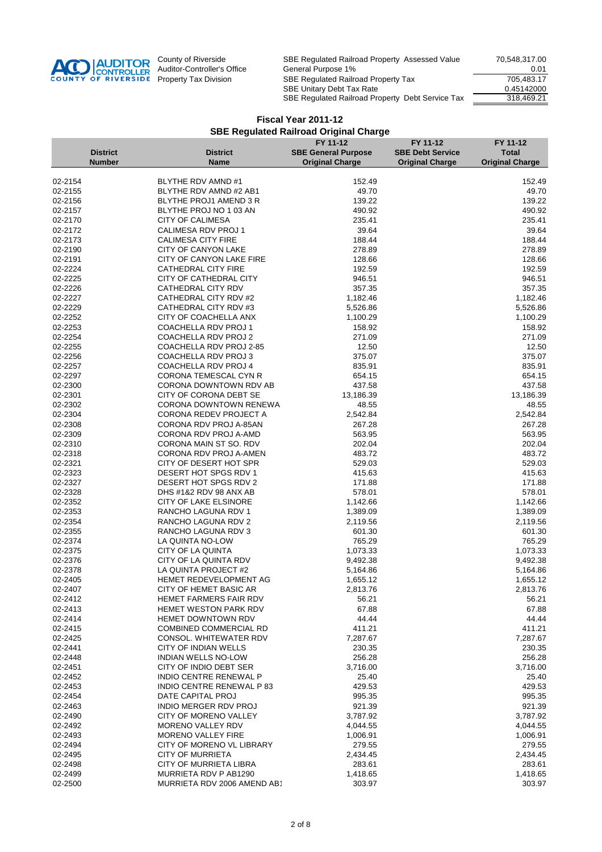

|                    |                 |                                                   | FY 11-12                   | FY 11-12                | FY 11-12               |
|--------------------|-----------------|---------------------------------------------------|----------------------------|-------------------------|------------------------|
|                    | <b>District</b> | <b>District</b>                                   | <b>SBE General Purpose</b> | <b>SBE Debt Service</b> | <b>Total</b>           |
|                    | <b>Number</b>   | <b>Name</b>                                       | <b>Original Charge</b>     | <b>Original Charge</b>  | <b>Original Charge</b> |
|                    |                 |                                                   |                            |                         |                        |
| 02-2154            |                 | BLYTHE RDV AMND #1                                | 152.49                     |                         | 152.49                 |
| 02-2155            |                 | BLYTHE RDV AMND #2 AB1                            | 49.70                      |                         | 49.70                  |
| 02-2156            |                 | BLYTHE PROJ1 AMEND 3 R                            | 139.22                     |                         | 139.22                 |
| 02-2157<br>02-2170 |                 | BLYTHE PROJ NO 1 03 AN<br><b>CITY OF CALIMESA</b> | 490.92<br>235.41           |                         | 490.92<br>235.41       |
| 02-2172            |                 | CALIMESA RDV PROJ 1                               | 39.64                      |                         | 39.64                  |
| 02-2173            |                 | <b>CALIMESA CITY FIRE</b>                         | 188.44                     |                         | 188.44                 |
| 02-2190            |                 | CITY OF CANYON LAKE                               | 278.89                     |                         | 278.89                 |
| 02-2191            |                 | CITY OF CANYON LAKE FIRE                          | 128.66                     |                         | 128.66                 |
| 02-2224            |                 | CATHEDRAL CITY FIRE                               | 192.59                     |                         | 192.59                 |
| 02-2225            |                 | CITY OF CATHEDRAL CITY                            | 946.51                     |                         | 946.51                 |
| 02-2226            |                 | CATHEDRAL CITY RDV                                | 357.35                     |                         | 357.35                 |
| 02-2227            |                 | CATHEDRAL CITY RDV #2                             | 1,182.46                   |                         | 1,182.46               |
| 02-2229            |                 | CATHEDRAL CITY RDV #3                             | 5,526.86                   |                         | 5,526.86               |
| 02-2252            |                 | CITY OF COACHELLA ANX                             | 1,100.29                   |                         | 1,100.29               |
| 02-2253            |                 | COACHELLA RDV PROJ 1                              | 158.92                     |                         | 158.92                 |
| 02-2254            |                 | COACHELLA RDV PROJ 2                              | 271.09                     |                         | 271.09                 |
| 02-2255            |                 | COACHELLA RDV PROJ 2-85                           | 12.50                      |                         | 12.50                  |
| 02-2256            |                 | COACHELLA RDV PROJ 3                              | 375.07                     |                         | 375.07                 |
| 02-2257            |                 | COACHELLA RDV PROJ 4                              | 835.91                     |                         | 835.91                 |
| 02-2297            |                 | CORONA TEMESCAL CYN R                             | 654.15                     |                         | 654.15                 |
| 02-2300            |                 | CORONA DOWNTOWN RDV AB                            | 437.58                     |                         | 437.58                 |
| 02-2301            |                 | CITY OF CORONA DEBT SE                            | 13,186.39                  |                         | 13,186.39              |
| 02-2302            |                 | CORONA DOWNTOWN RENEWA                            | 48.55                      |                         | 48.55                  |
| 02-2304            |                 | <b>CORONA REDEV PROJECT A</b>                     | 2,542.84                   |                         | 2,542.84               |
| 02-2308            |                 | CORONA RDV PROJ A-85AN                            | 267.28                     |                         | 267.28                 |
| 02-2309            |                 | CORONA RDV PROJ A-AMD                             | 563.95                     |                         | 563.95                 |
| 02-2310            |                 | CORONA MAIN ST SO. RDV                            | 202.04                     |                         | 202.04                 |
| 02-2318<br>02-2321 |                 | CORONA RDV PROJ A-AMEN<br>CITY OF DESERT HOT SPR  | 483.72<br>529.03           |                         | 483.72<br>529.03       |
| 02-2323            |                 | DESERT HOT SPGS RDV 1                             | 415.63                     |                         | 415.63                 |
| 02-2327            |                 | DESERT HOT SPGS RDV 2                             | 171.88                     |                         | 171.88                 |
| 02-2328            |                 | DHS #1&2 RDV 98 ANX AB                            | 578.01                     |                         | 578.01                 |
| 02-2352            |                 | CITY OF LAKE ELSINORE                             | 1,142.66                   |                         | 1,142.66               |
| 02-2353            |                 | RANCHO LAGUNA RDV 1                               | 1,389.09                   |                         | 1,389.09               |
| 02-2354            |                 | RANCHO LAGUNA RDV 2                               | 2,119.56                   |                         | 2,119.56               |
| 02-2355            |                 | RANCHO LAGUNA RDV 3                               | 601.30                     |                         | 601.30                 |
| 02-2374            |                 | LA QUINTA NO-LOW                                  | 765.29                     |                         | 765.29                 |
| 02-2375            |                 | CITY OF LA QUINTA                                 | 1,073.33                   |                         | 1,073.33               |
| 02-2376            |                 | CITY OF LA QUINTA RDV                             | 9,492.38                   |                         | 9,492.38               |
| 02-2378            |                 | LA QUINTA PROJECT #2                              | 5,164.86                   |                         | 5,164.86               |
| 02-2405            |                 | HEMET REDEVELOPMENT AG                            | 1,655.12                   |                         | 1,655.12               |
| 02-2407            |                 | CITY OF HEMET BASIC AR                            | 2,813.76                   |                         | 2,813.76               |
| 02-2412            |                 | <b>HEMET FARMERS FAIR RDV</b>                     | 56.21                      |                         | 56.21                  |
| 02-2413            |                 | <b>HEMET WESTON PARK RDV</b>                      | 67.88                      |                         | 67.88                  |
| 02-2414            |                 | <b>HEMET DOWNTOWN RDV</b>                         | 44.44                      |                         | 44.44                  |
| 02-2415            |                 | <b>COMBINED COMMERCIAL RD</b>                     | 411.21                     |                         | 411.21                 |
| 02-2425            |                 | <b>CONSOL. WHITEWATER RDV</b>                     | 7,287.67                   |                         | 7,287.67               |
| 02-2441            |                 | CITY OF INDIAN WELLS                              | 230.35                     |                         | 230.35                 |
| 02-2448            |                 | <b>INDIAN WELLS NO-LOW</b>                        | 256.28<br>3,716.00         |                         | 256.28                 |
| 02-2451<br>02-2452 |                 | CITY OF INDIO DEBT SER<br>INDIO CENTRE RENEWAL P  | 25.40                      |                         | 3,716.00<br>25.40      |
| 02-2453            |                 | INDIO CENTRE RENEWAL P 83                         | 429.53                     |                         | 429.53                 |
| 02-2454            |                 | DATE CAPITAL PROJ                                 | 995.35                     |                         | 995.35                 |
| 02-2463            |                 | <b>INDIO MERGER RDV PROJ</b>                      | 921.39                     |                         | 921.39                 |
| 02-2490            |                 | <b>CITY OF MORENO VALLEY</b>                      | 3,787.92                   |                         | 3,787.92               |
| 02-2492            |                 | MORENO VALLEY RDV                                 | 4,044.55                   |                         | 4,044.55               |
| 02-2493            |                 | <b>MORENO VALLEY FIRE</b>                         | 1,006.91                   |                         | 1,006.91               |
| 02-2494            |                 | CITY OF MORENO VL LIBRARY                         | 279.55                     |                         | 279.55                 |
| 02-2495            |                 | <b>CITY OF MURRIETA</b>                           | 2,434.45                   |                         | 2,434.45               |
| 02-2498            |                 | CITY OF MURRIETA LIBRA                            | 283.61                     |                         | 283.61                 |
| 02-2499            |                 | MURRIETA RDV P AB1290                             | 1,418.65                   |                         | 1,418.65               |
| 02-2500            |                 | MURRIETA RDV 2006 AMEND AB1                       | 303.97                     |                         | 303.97                 |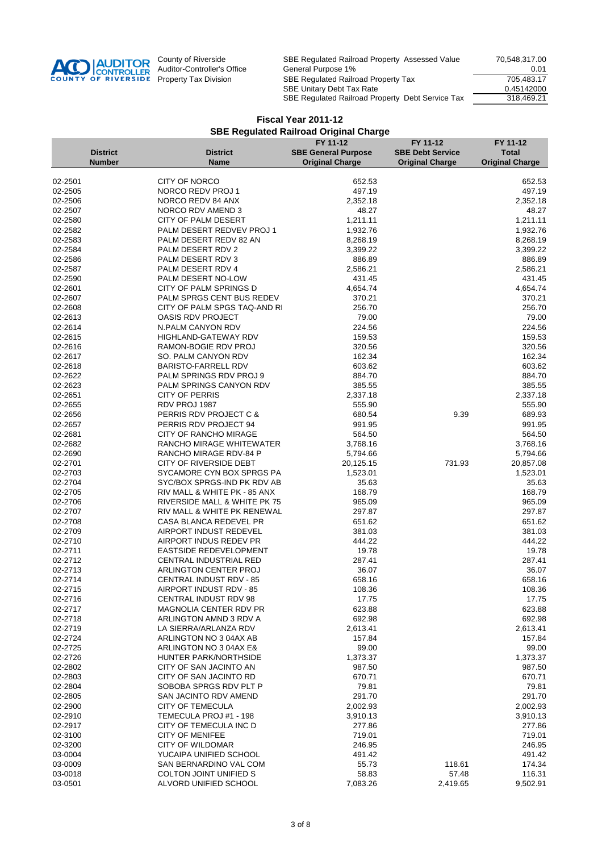

|                    |                 |                                                          | FY 11-12                   | FY 11-12                | FY 11-12               |
|--------------------|-----------------|----------------------------------------------------------|----------------------------|-------------------------|------------------------|
|                    | <b>District</b> | <b>District</b>                                          | <b>SBE General Purpose</b> | <b>SBE Debt Service</b> | <b>Total</b>           |
|                    | <b>Number</b>   | <b>Name</b>                                              | <b>Original Charge</b>     | <b>Original Charge</b>  | <b>Original Charge</b> |
|                    |                 |                                                          |                            |                         |                        |
| 02-2501            |                 | <b>CITY OF NORCO</b>                                     | 652.53                     |                         | 652.53                 |
| 02-2505            |                 | NORCO REDV PROJ 1                                        | 497.19                     |                         | 497.19                 |
| 02-2506            |                 | NORCO REDV 84 ANX                                        | 2,352.18                   |                         | 2,352.18               |
| 02-2507            |                 | NORCO RDV AMEND 3                                        | 48.27                      |                         | 48.27                  |
| 02-2580<br>02-2582 |                 | CITY OF PALM DESERT<br>PALM DESERT REDVEV PROJ 1         | 1,211.11<br>1,932.76       |                         | 1,211.11<br>1,932.76   |
| 02-2583            |                 | PALM DESERT REDV 82 AN                                   | 8,268.19                   |                         | 8,268.19               |
| 02-2584            |                 | PALM DESERT RDV 2                                        | 3,399.22                   |                         | 3,399.22               |
| 02-2586            |                 | PALM DESERT RDV 3                                        | 886.89                     |                         | 886.89                 |
| 02-2587            |                 | PALM DESERT RDV 4                                        | 2,586.21                   |                         | 2,586.21               |
| 02-2590            |                 | PALM DESERT NO-LOW                                       | 431.45                     |                         | 431.45                 |
| 02-2601            |                 | CITY OF PALM SPRINGS D                                   | 4,654.74                   |                         | 4,654.74               |
| 02-2607            |                 | PALM SPRGS CENT BUS REDEV                                | 370.21                     |                         | 370.21                 |
| 02-2608            |                 | CITY OF PALM SPGS TAQ-AND RI                             | 256.70                     |                         | 256.70                 |
| 02-2613            |                 | <b>OASIS RDV PROJECT</b>                                 | 79.00                      |                         | 79.00                  |
| 02-2614            |                 | N.PALM CANYON RDV                                        | 224.56                     |                         | 224.56                 |
| 02-2615            |                 | <b>HIGHLAND-GATEWAY RDV</b>                              | 159.53                     |                         | 159.53                 |
| 02-2616            |                 | RAMON-BOGIE RDV PROJ                                     | 320.56                     |                         | 320.56                 |
| 02-2617            |                 | SO. PALM CANYON RDV                                      | 162.34                     |                         | 162.34                 |
| 02-2618            |                 | <b>BARISTO-FARRELL RDV</b>                               | 603.62                     |                         | 603.62                 |
| 02-2622            |                 | PALM SPRINGS RDV PROJ 9                                  | 884.70                     |                         | 884.70                 |
| 02-2623            |                 | PALM SPRINGS CANYON RDV                                  | 385.55                     |                         | 385.55                 |
| 02-2651            |                 | CITY OF PERRIS                                           | 2,337.18                   |                         | 2,337.18               |
| 02-2655            |                 | RDV PROJ 1987                                            | 555.90                     |                         | 555.90                 |
| 02-2656            |                 | PERRIS RDV PROJECT C &                                   | 680.54                     | 9.39                    | 689.93                 |
| 02-2657            |                 | PERRIS RDV PROJECT 94                                    | 991.95                     |                         | 991.95                 |
| 02-2681<br>02-2682 |                 | <b>CITY OF RANCHO MIRAGE</b><br>RANCHO MIRAGE WHITEWATER | 564.50<br>3,768.16         |                         | 564.50<br>3,768.16     |
| 02-2690            |                 | RANCHO MIRAGE RDV-84 P                                   | 5,794.66                   |                         | 5,794.66               |
| 02-2701            |                 | CITY OF RIVERSIDE DEBT                                   | 20,125.15                  | 731.93                  | 20,857.08              |
| 02-2703            |                 | SYCAMORE CYN BOX SPRGS PA                                | 1,523.01                   |                         | 1,523.01               |
| 02-2704            |                 | SYC/BOX SPRGS-IND PK RDV AB                              | 35.63                      |                         | 35.63                  |
| 02-2705            |                 | RIV MALL & WHITE PK - 85 ANX                             | 168.79                     |                         | 168.79                 |
| 02-2706            |                 | RIVERSIDE MALL & WHITE PK 75                             | 965.09                     |                         | 965.09                 |
| 02-2707            |                 | RIV MALL & WHITE PK RENEWAL                              | 297.87                     |                         | 297.87                 |
| 02-2708            |                 | CASA BLANCA REDEVEL PR                                   | 651.62                     |                         | 651.62                 |
| 02-2709            |                 | AIRPORT INDUST REDEVEL                                   | 381.03                     |                         | 381.03                 |
| 02-2710            |                 | AIRPORT INDUS REDEV PR                                   | 444.22                     |                         | 444.22                 |
| 02-2711            |                 | EASTSIDE REDEVELOPMENT                                   | 19.78                      |                         | 19.78                  |
| 02-2712            |                 | <b>CENTRAL INDUSTRIAL RED</b>                            | 287.41                     |                         | 287.41                 |
| 02-2713            |                 | ARLINGTON CENTER PROJ                                    | 36.07                      |                         | 36.07                  |
| 02-2714            |                 | CENTRAL INDUST RDV - 85                                  | 658.16                     |                         | 658.16                 |
| 02-2715            |                 | AIRPORT INDUST RDV - 85                                  | 108.36                     |                         | 108.36                 |
| 02-2716            |                 | CENTRAL INDUST RDV 98                                    | 17.75                      |                         | 17.75                  |
| 02-2717            |                 | <b>MAGNOLIA CENTER RDV PR</b>                            | 623.88                     |                         | 623.88                 |
| 02-2718<br>02-2719 |                 | ARLINGTON AMND 3 RDV A<br>LA SIERRA/ARLANZA RDV          | 692.98                     |                         | 692.98                 |
| 02-2724            |                 | ARLINGTON NO 3 04AX AB                                   | 2,613.41<br>157.84         |                         | 2,613.41<br>157.84     |
| 02-2725            |                 | ARLINGTON NO 3 04AX E&                                   | 99.00                      |                         | 99.00                  |
| 02-2726            |                 | HUNTER PARK/NORTHSIDE                                    | 1,373.37                   |                         | 1,373.37               |
| 02-2802            |                 | CITY OF SAN JACINTO AN                                   | 987.50                     |                         | 987.50                 |
| 02-2803            |                 | CITY OF SAN JACINTO RD                                   | 670.71                     |                         | 670.71                 |
| 02-2804            |                 | SOBOBA SPRGS RDV PLT P                                   | 79.81                      |                         | 79.81                  |
| 02-2805            |                 | SAN JACINTO RDV AMEND                                    | 291.70                     |                         | 291.70                 |
| 02-2900            |                 | <b>CITY OF TEMECULA</b>                                  | 2,002.93                   |                         | 2,002.93               |
| 02-2910            |                 | TEMECULA PROJ #1 - 198                                   | 3,910.13                   |                         | 3,910.13               |
| 02-2917            |                 | CITY OF TEMECULA INC D                                   | 277.86                     |                         | 277.86                 |
| 02-3100            |                 | <b>CITY OF MENIFEE</b>                                   | 719.01                     |                         | 719.01                 |
| 02-3200            |                 | <b>CITY OF WILDOMAR</b>                                  | 246.95                     |                         | 246.95                 |
| 03-0004            |                 | YUCAIPA UNIFIED SCHOOL                                   | 491.42                     |                         | 491.42                 |
| 03-0009            |                 | SAN BERNARDINO VAL COM                                   | 55.73                      | 118.61                  | 174.34                 |
| 03-0018            |                 | <b>COLTON JOINT UNIFIED S</b>                            | 58.83                      | 57.48                   | 116.31                 |
| 03-0501            |                 | ALVORD UNIFIED SCHOOL                                    | 7,083.26                   | 2,419.65                | 9,502.91               |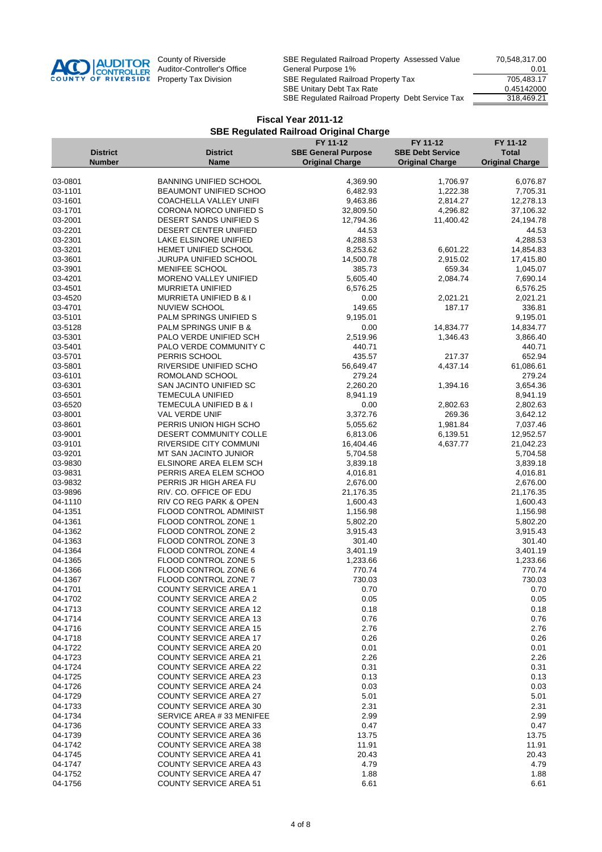

|                    |                 |                                                                | FY 11-12                   | FY 11-12                | FY 11-12               |
|--------------------|-----------------|----------------------------------------------------------------|----------------------------|-------------------------|------------------------|
|                    | <b>District</b> | <b>District</b>                                                | <b>SBE General Purpose</b> | <b>SBE Debt Service</b> | <b>Total</b>           |
|                    | <b>Number</b>   | <b>Name</b>                                                    | <b>Original Charge</b>     | <b>Original Charge</b>  | <b>Original Charge</b> |
|                    |                 |                                                                |                            |                         |                        |
| 03-0801            |                 | <b>BANNING UNIFIED SCHOOL</b>                                  | 4,369.90                   | 1,706.97                | 6,076.87               |
| 03-1101<br>03-1601 |                 | BEAUMONT UNIFIED SCHOO<br>COACHELLA VALLEY UNIFI               | 6,482.93<br>9,463.86       | 1,222.38<br>2,814.27    | 7,705.31<br>12,278.13  |
| 03-1701            |                 | CORONA NORCO UNIFIED S                                         | 32,809.50                  | 4,296.82                | 37,106.32              |
| 03-2001            |                 | DESERT SANDS UNIFIED S                                         | 12,794.36                  | 11,400.42               | 24,194.78              |
| 03-2201            |                 | DESERT CENTER UNIFIED                                          | 44.53                      |                         | 44.53                  |
| 03-2301            |                 | LAKE ELSINORE UNIFIED                                          | 4,288.53                   |                         | 4,288.53               |
| 03-3201            |                 | HEMET UNIFIED SCHOOL                                           | 8,253.62                   | 6,601.22                | 14,854.83              |
| 03-3601            |                 | JURUPA UNIFIED SCHOOL                                          | 14,500.78                  | 2,915.02                | 17,415.80              |
| 03-3901            |                 | MENIFEE SCHOOL                                                 | 385.73                     | 659.34                  | 1,045.07               |
| 03-4201            |                 | MORENO VALLEY UNIFIED                                          | 5,605.40                   | 2,084.74                | 7,690.14               |
| 03-4501            |                 | <b>MURRIETA UNIFIED</b>                                        | 6,576.25                   |                         | 6,576.25               |
| 03-4520            |                 | MURRIETA UNIFIED B & I                                         | 0.00                       | 2,021.21                | 2,021.21               |
| 03-4701            |                 | NUVIEW SCHOOL                                                  | 149.65                     | 187.17                  | 336.81                 |
| 03-5101            |                 | PALM SPRINGS UNIFIED S                                         | 9,195.01                   |                         | 9,195.01               |
| 03-5128            |                 | PALM SPRINGS UNIF B &                                          | 0.00                       | 14,834.77               | 14,834.77              |
| 03-5301            |                 | PALO VERDE UNIFIED SCH                                         | 2,519.96                   | 1,346.43                | 3,866.40               |
| 03-5401            |                 | PALO VERDE COMMUNITY C                                         | 440.71                     |                         | 440.71                 |
| 03-5701            |                 | PERRIS SCHOOL                                                  | 435.57                     | 217.37                  | 652.94                 |
| 03-5801<br>03-6101 |                 | RIVERSIDE UNIFIED SCHO<br>ROMOLAND SCHOOL                      | 56,649.47<br>279.24        | 4,437.14                | 61,086.61<br>279.24    |
| 03-6301            |                 | SAN JACINTO UNIFIED SC                                         | 2,260.20                   | 1,394.16                | 3,654.36               |
| 03-6501            |                 | <b>TEMECULA UNIFIED</b>                                        | 8,941.19                   |                         | 8,941.19               |
| 03-6520            |                 | TEMECULA UNIFIED B & I                                         | 0.00                       | 2,802.63                | 2,802.63               |
| 03-8001            |                 | VAL VERDE UNIF                                                 | 3,372.76                   | 269.36                  | 3,642.12               |
| 03-8601            |                 | PERRIS UNION HIGH SCHO                                         | 5,055.62                   | 1,981.84                | 7,037.46               |
| 03-9001            |                 | DESERT COMMUNITY COLLE                                         | 6,813.06                   | 6,139.51                | 12,952.57              |
| 03-9101            |                 | RIVERSIDE CITY COMMUNI                                         | 16,404.46                  | 4,637.77                | 21,042.23              |
| 03-9201            |                 | MT SAN JACINTO JUNIOR                                          | 5,704.58                   |                         | 5,704.58               |
| 03-9830            |                 | ELSINORE AREA ELEM SCH                                         | 3,839.18                   |                         | 3,839.18               |
| 03-9831            |                 | PERRIS AREA ELEM SCHOO                                         | 4,016.81                   |                         | 4,016.81               |
| 03-9832            |                 | PERRIS JR HIGH AREA FU                                         | 2,676.00                   |                         | 2,676.00               |
| 03-9896            |                 | RIV. CO. OFFICE OF EDU                                         | 21,176.35                  |                         | 21,176.35              |
| 04-1110            |                 | RIV CO REG PARK & OPEN                                         | 1,600.43                   |                         | 1,600.43               |
| 04-1351            |                 | FLOOD CONTROL ADMINIST                                         | 1,156.98                   |                         | 1,156.98               |
| 04-1361            |                 | FLOOD CONTROL ZONE 1                                           | 5,802.20                   |                         | 5,802.20               |
| 04-1362            |                 | FLOOD CONTROL ZONE 2                                           | 3,915.43                   |                         | 3,915.43               |
| 04-1363            |                 | FLOOD CONTROL ZONE 3<br>FLOOD CONTROL ZONE 4                   | 301.40                     |                         | 301.40                 |
| 04-1364<br>04-1365 |                 | FLOOD CONTROL ZONE 5                                           | 3,401.19<br>1,233.66       |                         | 3,401.19<br>1,233.66   |
| 04-1366            |                 | FLOOD CONTROL ZONE 6                                           | 770.74                     |                         | 770.74                 |
| 04-1367            |                 | FLOOD CONTROL ZONE 7                                           | 730.03                     |                         | 730.03                 |
| 04-1701            |                 | <b>COUNTY SERVICE AREA 1</b>                                   | 0.70                       |                         | 0.70                   |
| 04-1702            |                 | <b>COUNTY SERVICE AREA 2</b>                                   | 0.05                       |                         | 0.05                   |
| 04-1713            |                 | <b>COUNTY SERVICE AREA 12</b>                                  | 0.18                       |                         | 0.18                   |
| 04-1714            |                 | <b>COUNTY SERVICE AREA 13</b>                                  | 0.76                       |                         | 0.76                   |
| 04-1716            |                 | <b>COUNTY SERVICE AREA 15</b>                                  | 2.76                       |                         | 2.76                   |
| 04-1718            |                 | <b>COUNTY SERVICE AREA 17</b>                                  | 0.26                       |                         | 0.26                   |
| 04-1722            |                 | <b>COUNTY SERVICE AREA 20</b>                                  | 0.01                       |                         | 0.01                   |
| 04-1723            |                 | <b>COUNTY SERVICE AREA 21</b>                                  | 2.26                       |                         | 2.26                   |
| 04-1724            |                 | <b>COUNTY SERVICE AREA 22</b>                                  | 0.31                       |                         | 0.31                   |
| 04-1725            |                 | <b>COUNTY SERVICE AREA 23</b>                                  | 0.13                       |                         | 0.13                   |
| 04-1726            |                 | <b>COUNTY SERVICE AREA 24</b>                                  | 0.03                       |                         | 0.03                   |
| 04-1729            |                 | <b>COUNTY SERVICE AREA 27</b>                                  | 5.01                       |                         | 5.01                   |
| 04-1733            |                 | <b>COUNTY SERVICE AREA 30</b>                                  | 2.31                       |                         | 2.31                   |
| 04-1734            |                 | SERVICE AREA #33 MENIFEE                                       | 2.99                       |                         | 2.99                   |
| 04-1736            |                 | <b>COUNTY SERVICE AREA 33</b>                                  | 0.47                       |                         | 0.47                   |
| 04-1739            |                 | <b>COUNTY SERVICE AREA 36</b>                                  | 13.75                      |                         | 13.75                  |
| 04-1742<br>04-1745 |                 | <b>COUNTY SERVICE AREA 38</b><br><b>COUNTY SERVICE AREA 41</b> | 11.91<br>20.43             |                         | 11.91                  |
| 04-1747            |                 | <b>COUNTY SERVICE AREA 43</b>                                  | 4.79                       |                         | 20.43<br>4.79          |
| 04-1752            |                 | <b>COUNTY SERVICE AREA 47</b>                                  | 1.88                       |                         | 1.88                   |
| 04-1756            |                 | <b>COUNTY SERVICE AREA 51</b>                                  | 6.61                       |                         | 6.61                   |
|                    |                 |                                                                |                            |                         |                        |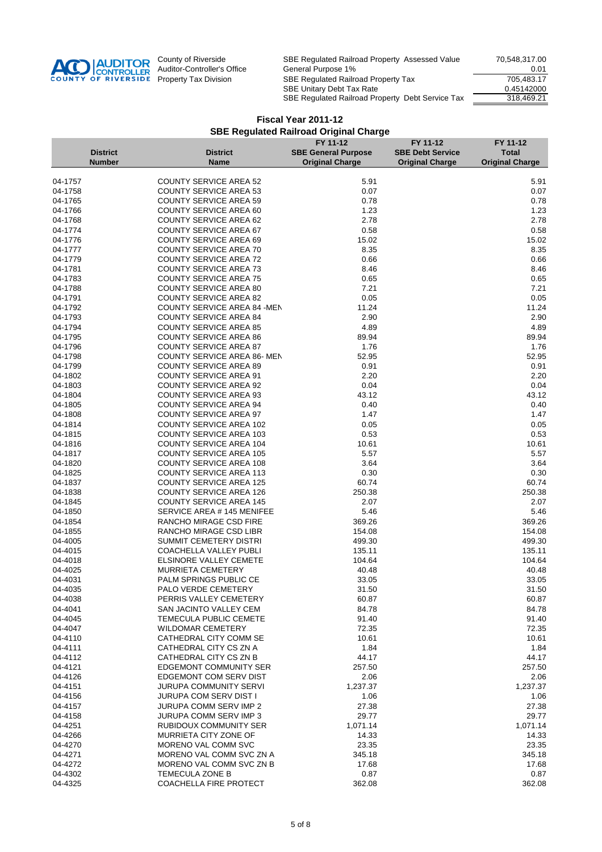

|                    |                 |                                                                | FY 11-12                   | FY 11-12                | FY 11-12               |
|--------------------|-----------------|----------------------------------------------------------------|----------------------------|-------------------------|------------------------|
|                    | <b>District</b> | <b>District</b>                                                | <b>SBE General Purpose</b> | <b>SBE Debt Service</b> | <b>Total</b>           |
|                    | <b>Number</b>   | <b>Name</b>                                                    | <b>Original Charge</b>     | <b>Original Charge</b>  | <b>Original Charge</b> |
|                    |                 |                                                                |                            |                         |                        |
| 04-1757            |                 | <b>COUNTY SERVICE AREA 52</b>                                  | 5.91                       |                         | 5.91                   |
| 04-1758            |                 | <b>COUNTY SERVICE AREA 53</b>                                  | 0.07                       |                         | 0.07                   |
| 04-1765            |                 | <b>COUNTY SERVICE AREA 59</b>                                  | 0.78                       |                         | 0.78                   |
| 04-1766            |                 | <b>COUNTY SERVICE AREA 60</b>                                  | 1.23                       |                         | 1.23                   |
| 04-1768            |                 | <b>COUNTY SERVICE AREA 62</b>                                  | 2.78                       |                         | 2.78                   |
| 04-1774            |                 | <b>COUNTY SERVICE AREA 67</b>                                  | 0.58                       |                         | 0.58                   |
| 04-1776            |                 | <b>COUNTY SERVICE AREA 69</b>                                  | 15.02                      |                         | 15.02                  |
| 04-1777            |                 | <b>COUNTY SERVICE AREA 70</b>                                  | 8.35                       |                         | 8.35                   |
| 04-1779            |                 | <b>COUNTY SERVICE AREA 72</b>                                  | 0.66                       |                         | 0.66                   |
| 04-1781            |                 | <b>COUNTY SERVICE AREA 73</b>                                  | 8.46                       |                         | 8.46                   |
| 04-1783            |                 | <b>COUNTY SERVICE AREA 75</b>                                  | 0.65                       |                         | 0.65                   |
| 04-1788            |                 | <b>COUNTY SERVICE AREA 80</b>                                  | 7.21                       |                         | 7.21                   |
| 04-1791            |                 | <b>COUNTY SERVICE AREA 82</b>                                  | 0.05                       |                         | 0.05                   |
| 04-1792            |                 | <b>COUNTY SERVICE AREA 84 -MEN</b>                             | 11.24                      |                         | 11.24<br>2.90          |
| 04-1793<br>04-1794 |                 | <b>COUNTY SERVICE AREA 84</b><br><b>COUNTY SERVICE AREA 85</b> | 2.90<br>4.89               |                         | 4.89                   |
| 04-1795            |                 | <b>COUNTY SERVICE AREA 86</b>                                  | 89.94                      |                         | 89.94                  |
| 04-1796            |                 | <b>COUNTY SERVICE AREA 87</b>                                  | 1.76                       |                         | 1.76                   |
| 04-1798            |                 | <b>COUNTY SERVICE AREA 86-MEN</b>                              | 52.95                      |                         | 52.95                  |
| 04-1799            |                 | <b>COUNTY SERVICE AREA 89</b>                                  | 0.91                       |                         | 0.91                   |
| 04-1802            |                 | <b>COUNTY SERVICE AREA 91</b>                                  | 2.20                       |                         | 2.20                   |
| 04-1803            |                 | <b>COUNTY SERVICE AREA 92</b>                                  | 0.04                       |                         | 0.04                   |
| 04-1804            |                 | <b>COUNTY SERVICE AREA 93</b>                                  | 43.12                      |                         | 43.12                  |
| 04-1805            |                 | <b>COUNTY SERVICE AREA 94</b>                                  | 0.40                       |                         | 0.40                   |
| 04-1808            |                 | <b>COUNTY SERVICE AREA 97</b>                                  | 1.47                       |                         | 1.47                   |
| 04-1814            |                 | <b>COUNTY SERVICE AREA 102</b>                                 | 0.05                       |                         | 0.05                   |
| 04-1815            |                 | <b>COUNTY SERVICE AREA 103</b>                                 | 0.53                       |                         | 0.53                   |
| 04-1816            |                 | <b>COUNTY SERVICE AREA 104</b>                                 | 10.61                      |                         | 10.61                  |
| 04-1817            |                 | <b>COUNTY SERVICE AREA 105</b>                                 | 5.57                       |                         | 5.57                   |
| 04-1820            |                 | <b>COUNTY SERVICE AREA 108</b>                                 | 3.64                       |                         | 3.64                   |
| 04-1825            |                 | <b>COUNTY SERVICE AREA 113</b>                                 | 0.30                       |                         | 0.30                   |
| 04-1837            |                 | <b>COUNTY SERVICE AREA 125</b>                                 | 60.74                      |                         | 60.74                  |
| 04-1838            |                 | <b>COUNTY SERVICE AREA 126</b>                                 | 250.38                     |                         | 250.38                 |
| 04-1845            |                 | <b>COUNTY SERVICE AREA 145</b>                                 | 2.07                       |                         | 2.07                   |
| 04-1850            |                 | SERVICE AREA # 145 MENIFEE                                     | 5.46                       |                         | 5.46                   |
| 04-1854            |                 | RANCHO MIRAGE CSD FIRE                                         | 369.26                     |                         | 369.26                 |
| 04-1855            |                 | RANCHO MIRAGE CSD LIBR                                         | 154.08                     |                         | 154.08                 |
| 04-4005            |                 | SUMMIT CEMETERY DISTRI                                         | 499.30                     |                         | 499.30                 |
| 04-4015            |                 | COACHELLA VALLEY PUBLI                                         | 135.11                     |                         | 135.11                 |
| 04-4018            |                 | ELSINORE VALLEY CEMETE                                         | 104.64                     |                         | 104.64                 |
| 04-4025            |                 | <b>MURRIETA CEMETERY</b>                                       | 40.48                      |                         | 40.48                  |
| 04-4031            |                 | PALM SPRINGS PUBLIC CE                                         | 33.05                      |                         | 33.05                  |
| 04-4035            |                 | PALO VERDE CEMETERY                                            | 31.50                      |                         | 31.50                  |
| 04-4038            |                 | PERRIS VALLEY CEMETERY                                         | 60.87                      |                         | 60.87                  |
| 04-4041            |                 | SAN JACINTO VALLEY CEM                                         | 84.78                      |                         | 84.78                  |
| 04-4045            |                 | <b>TEMECULA PUBLIC CEMETE</b>                                  | 91.40                      |                         | 91.40                  |
| 04-4047            |                 | <b>WILDOMAR CEMETERY</b>                                       | 72.35                      |                         | 72.35                  |
| 04-4110            |                 | CATHEDRAL CITY COMM SE                                         | 10.61                      |                         | 10.61                  |
| 04-4111            |                 | CATHEDRAL CITY CS ZN A                                         | 1.84                       |                         | 1.84                   |
| 04-4112            |                 | CATHEDRAL CITY CS ZN B                                         | 44.17                      |                         | 44.17                  |
| 04-4121            |                 | <b>EDGEMONT COMMUNITY SER</b>                                  | 257.50                     |                         | 257.50                 |
| 04-4126            |                 | EDGEMONT COM SERV DIST                                         | 2.06                       |                         | 2.06                   |
| 04-4151            |                 | <b>JURUPA COMMUNITY SERVI</b>                                  | 1,237.37                   |                         | 1,237.37               |
| 04-4156            |                 | <b>JURUPA COM SERV DIST I</b>                                  | 1.06                       |                         | 1.06                   |
| 04-4157            |                 | <b>JURUPA COMM SERV IMP 2</b>                                  | 27.38                      |                         | 27.38                  |
| 04-4158            |                 | <b>JURUPA COMM SERV IMP 3</b>                                  | 29.77                      |                         | 29.77                  |
| 04-4251            |                 | <b>RUBIDOUX COMMUNITY SER</b>                                  | 1,071.14                   |                         | 1,071.14               |
| 04-4266<br>04-4270 |                 | MURRIETA CITY ZONE OF<br>MORENO VAL COMM SVC                   | 14.33<br>23.35             |                         | 14.33<br>23.35         |
| 04-4271            |                 | MORENO VAL COMM SVC ZN A                                       | 345.18                     |                         | 345.18                 |
| 04-4272            |                 | MORENO VAL COMM SVC ZN B                                       | 17.68                      |                         | 17.68                  |
| 04-4302            |                 | <b>TEMECULA ZONE B</b>                                         | 0.87                       |                         | 0.87                   |
| 04-4325            |                 | COACHELLA FIRE PROTECT                                         | 362.08                     |                         | 362.08                 |
|                    |                 |                                                                |                            |                         |                        |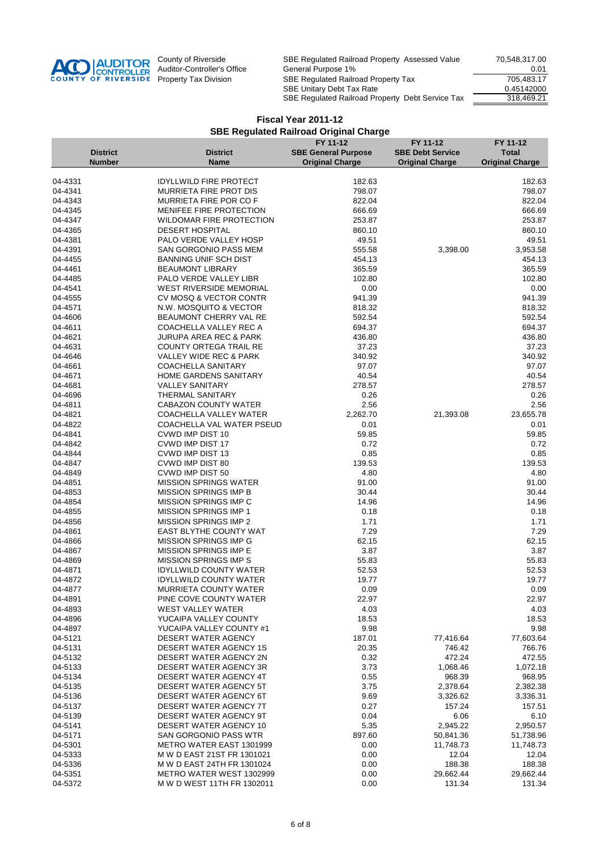

|                    |                 |                                                          | FY 11-12                   | FY 11-12                | FY 11-12               |
|--------------------|-----------------|----------------------------------------------------------|----------------------------|-------------------------|------------------------|
|                    | <b>District</b> | <b>District</b>                                          | <b>SBE General Purpose</b> | <b>SBE Debt Service</b> | <b>Total</b>           |
|                    | <b>Number</b>   | <b>Name</b>                                              | <b>Original Charge</b>     | <b>Original Charge</b>  | <b>Original Charge</b> |
|                    |                 |                                                          |                            |                         |                        |
| 04-4331            |                 | <b>IDYLLWILD FIRE PROTECT</b>                            | 182.63                     |                         | 182.63                 |
| 04-4341            |                 | <b>MURRIETA FIRE PROT DIS</b>                            | 798.07                     |                         | 798.07                 |
| 04-4343<br>04-4345 |                 | <b>MURRIETA FIRE POR CO F</b><br>MENIFEE FIRE PROTECTION | 822.04                     |                         | 822.04<br>666.69       |
| 04-4347            |                 | WILDOMAR FIRE PROTECTION                                 | 666.69<br>253.87           |                         | 253.87                 |
| 04-4365            |                 | <b>DESERT HOSPITAL</b>                                   | 860.10                     |                         | 860.10                 |
| 04-4381            |                 | PALO VERDE VALLEY HOSP                                   | 49.51                      |                         | 49.51                  |
| 04-4391            |                 | SAN GORGONIO PASS MEM                                    | 555.58                     | 3,398.00                | 3,953.58               |
| 04-4455            |                 | <b>BANNING UNIF SCH DIST</b>                             | 454.13                     |                         | 454.13                 |
| 04-4461            |                 | <b>BEAUMONT LIBRARY</b>                                  | 365.59                     |                         | 365.59                 |
| 04-4485            |                 | PALO VERDE VALLEY LIBR                                   | 102.80                     |                         | 102.80                 |
| 04-4541            |                 | <b>WEST RIVERSIDE MEMORIAL</b>                           | 0.00                       |                         | 0.00                   |
| 04-4555            |                 | CV MOSQ & VECTOR CONTR                                   | 941.39                     |                         | 941.39                 |
| 04-4571            |                 | N.W. MOSQUITO & VECTOR                                   | 818.32                     |                         | 818.32                 |
| 04-4606            |                 | BEAUMONT CHERRY VAL RE                                   | 592.54                     |                         | 592.54                 |
| 04-4611            |                 | COACHELLA VALLEY REC A                                   | 694.37                     |                         | 694.37                 |
| 04-4621            |                 | <b>JURUPA AREA REC &amp; PARK</b>                        | 436.80                     |                         | 436.80                 |
| 04-4631            |                 | <b>COUNTY ORTEGA TRAIL RE</b>                            | 37.23                      |                         | 37.23                  |
| 04-4646            |                 | VALLEY WIDE REC & PARK                                   | 340.92                     |                         | 340.92                 |
| 04-4661            |                 | <b>COACHELLA SANITARY</b>                                | 97.07                      |                         | 97.07                  |
| 04-4671            |                 | HOME GARDENS SANITARY                                    | 40.54                      |                         | 40.54                  |
| 04-4681            |                 | <b>VALLEY SANITARY</b>                                   | 278.57                     |                         | 278.57                 |
| 04-4696            |                 | <b>THERMAL SANITARY</b>                                  | 0.26                       |                         | 0.26                   |
| 04-4811            |                 | CABAZON COUNTY WATER                                     | 2.56                       |                         | 2.56                   |
| 04-4821            |                 | COACHELLA VALLEY WATER                                   | 2,262.70                   | 21,393.08               | 23,655.78              |
| 04-4822            |                 | <b>COACHELLA VAL WATER PSEUD</b>                         | 0.01                       |                         | 0.01                   |
| 04-4841            |                 | CVWD IMP DIST 10                                         | 59.85                      |                         | 59.85                  |
| 04-4842            |                 | CVWD IMP DIST 17                                         | 0.72                       |                         | 0.72                   |
| 04-4844            |                 | CVWD IMP DIST 13                                         | 0.85                       |                         | 0.85                   |
| 04-4847            |                 | CVWD IMP DIST 80                                         | 139.53                     |                         | 139.53                 |
| 04-4849            |                 | CVWD IMP DIST 50                                         | 4.80                       |                         | 4.80                   |
| 04-4851            |                 | <b>MISSION SPRINGS WATER</b>                             | 91.00                      |                         | 91.00                  |
| 04-4853            |                 | <b>MISSION SPRINGS IMP B</b>                             | 30.44                      |                         | 30.44                  |
| 04-4854            |                 | MISSION SPRINGS IMP C                                    | 14.96                      |                         | 14.96                  |
| 04-4855            |                 | <b>MISSION SPRINGS IMP 1</b>                             | 0.18                       |                         | 0.18                   |
| 04-4856            |                 | MISSION SPRINGS IMP 2                                    | 1.71                       |                         | 1.71                   |
| 04-4861            |                 | <b>EAST BLYTHE COUNTY WAT</b>                            | 7.29                       |                         | 7.29                   |
| 04-4866            |                 | MISSION SPRINGS IMP G                                    | 62.15                      |                         | 62.15                  |
| 04-4867<br>04-4869 |                 | MISSION SPRINGS IMP E<br><b>MISSION SPRINGS IMP S</b>    | 3.87<br>55.83              |                         | 3.87<br>55.83          |
| 04-4871            |                 | <b>IDYLLWILD COUNTY WATER</b>                            | 52.53                      |                         | 52.53                  |
| 04-4872            |                 | <b>IDYLLWILD COUNTY WATER</b>                            | 19.77                      |                         | 19.77                  |
| 04-4877            |                 | <b>MURRIETA COUNTY WATER</b>                             | 0.09                       |                         | 0.09                   |
| 04-4891            |                 | PINE COVE COUNTY WATER                                   | 22.97                      |                         | 22.97                  |
| 04-4893            |                 | <b>WEST VALLEY WATER</b>                                 | 4.03                       |                         | 4.03                   |
| 04-4896            |                 | YUCAIPA VALLEY COUNTY                                    | 18.53                      |                         | 18.53                  |
| 04-4897            |                 | YUCAIPA VALLEY COUNTY #1                                 | 9.98                       |                         | 9.98                   |
| 04-5121            |                 | DESERT WATER AGENCY                                      | 187.01                     | 77,416.64               | 77,603.64              |
| 04-5131            |                 | DESERT WATER AGENCY 1S                                   | 20.35                      | 746.42                  | 766.76                 |
| 04-5132            |                 | DESERT WATER AGENCY 2N                                   | 0.32                       | 472.24                  | 472.55                 |
| 04-5133            |                 | DESERT WATER AGENCY 3R                                   | 3.73                       | 1,068.46                | 1,072.18               |
| 04-5134            |                 | DESERT WATER AGENCY 4T                                   | 0.55                       | 968.39                  | 968.95                 |
| 04-5135            |                 | <b>DESERT WATER AGENCY 5T</b>                            | 3.75                       | 2,378.64                | 2,382.38               |
| 04-5136            |                 | DESERT WATER AGENCY 6T                                   | 9.69                       | 3,326.62                | 3,336.31               |
| 04-5137            |                 | DESERT WATER AGENCY 7T                                   | 0.27                       | 157.24                  | 157.51                 |
| 04-5139            |                 | DESERT WATER AGENCY 9T                                   | 0.04                       | 6.06                    | 6.10                   |
| 04-5141            |                 | DESERT WATER AGENCY 10                                   | 5.35                       | 2,945.22                | 2,950.57               |
| 04-5171            |                 | SAN GORGONIO PASS WTR                                    | 897.60                     | 50,841.36               | 51,738.96              |
| 04-5301            |                 | METRO WATER EAST 1301999                                 | 0.00                       | 11,748.73               | 11,748.73              |
| 04-5333            |                 | M W D EAST 21ST FR 1301021                               | 0.00                       | 12.04                   | 12.04                  |
| 04-5336            |                 | M W D EAST 24TH FR 1301024                               | 0.00                       | 188.38                  | 188.38                 |
| 04-5351            |                 | METRO WATER WEST 1302999                                 | 0.00                       | 29,662.44               | 29,662.44              |
| 04-5372            |                 | M W D WEST 11TH FR 1302011                               | 0.00                       | 131.34                  | 131.34                 |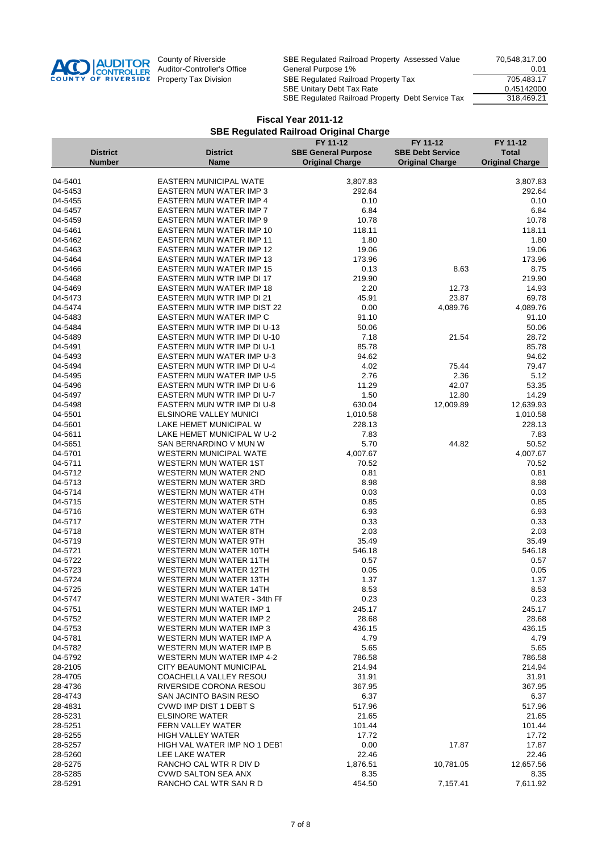

|                    |                 |                                                           | FY 11-12                   | FY 11-12                | FY 11-12               |
|--------------------|-----------------|-----------------------------------------------------------|----------------------------|-------------------------|------------------------|
|                    | <b>District</b> | <b>District</b>                                           | <b>SBE General Purpose</b> | <b>SBE Debt Service</b> | <b>Total</b>           |
|                    | <b>Number</b>   | <b>Name</b>                                               | <b>Original Charge</b>     | <b>Original Charge</b>  | <b>Original Charge</b> |
|                    |                 |                                                           |                            |                         |                        |
| 04-5401            |                 | <b>EASTERN MUNICIPAL WATE</b>                             | 3,807.83                   |                         | 3,807.83               |
| 04-5453            |                 | <b>EASTERN MUN WATER IMP 3</b>                            | 292.64<br>0.10             |                         | 292.64                 |
| 04-5455<br>04-5457 |                 | EASTERN MUN WATER IMP 4<br><b>EASTERN MUN WATER IMP 7</b> | 6.84                       |                         | 0.10<br>6.84           |
| 04-5459            |                 | EASTERN MUN WATER IMP 9                                   | 10.78                      |                         | 10.78                  |
| 04-5461            |                 | EASTERN MUN WATER IMP 10                                  | 118.11                     |                         | 118.11                 |
| 04-5462            |                 | <b>EASTERN MUN WATER IMP 11</b>                           | 1.80                       |                         | 1.80                   |
| 04-5463            |                 | EASTERN MUN WATER IMP 12                                  | 19.06                      |                         | 19.06                  |
| 04-5464            |                 | <b>EASTERN MUN WATER IMP 13</b>                           | 173.96                     |                         | 173.96                 |
| 04-5466            |                 | <b>EASTERN MUN WATER IMP 15</b>                           | 0.13                       | 8.63                    | 8.75                   |
| 04-5468            |                 | EASTERN MUN WTR IMP DI 17                                 | 219.90                     |                         | 219.90                 |
| 04-5469            |                 | <b>EASTERN MUN WATER IMP 18</b>                           | 2.20                       | 12.73                   | 14.93                  |
| 04-5473            |                 | EASTERN MUN WTR IMP DI 21                                 | 45.91                      | 23.87                   | 69.78                  |
| 04-5474            |                 | <b>EASTERN MUN WTR IMP DIST 22</b>                        | 0.00                       | 4,089.76                | 4,089.76               |
| 04-5483            |                 | EASTERN MUN WATER IMP C                                   | 91.10                      |                         | 91.10                  |
| 04-5484            |                 | EASTERN MUN WTR IMP DI U-13                               | 50.06                      |                         | 50.06                  |
| 04-5489            |                 | EASTERN MUN WTR IMP DI U-10                               | 7.18                       | 21.54                   | 28.72                  |
| 04-5491            |                 | EASTERN MUN WTR IMP DI U-1                                | 85.78                      |                         | 85.78                  |
| 04-5493            |                 | <b>EASTERN MUN WATER IMP U-3</b>                          | 94.62                      |                         | 94.62                  |
| 04-5494            |                 | EASTERN MUN WTR IMP DI U-4                                | 4.02                       | 75.44                   | 79.47                  |
| 04-5495            |                 | EASTERN MUN WATER IMP U-5                                 | 2.76                       | 2.36                    | 5.12                   |
| 04-5496            |                 | EASTERN MUN WTR IMP DI U-6                                | 11.29                      | 42.07                   | 53.35                  |
| 04-5497            |                 | EASTERN MUN WTR IMP DI U-7                                | 1.50                       | 12.80                   | 14.29                  |
| 04-5498            |                 | EASTERN MUN WTR IMP DI U-8                                | 630.04                     | 12,009.89               | 12,639.93              |
| 04-5501            |                 | ELSINORE VALLEY MUNICI                                    | 1,010.58                   |                         | 1,010.58               |
| 04-5601            |                 | LAKE HEMET MUNICIPAL W                                    | 228.13                     |                         | 228.13                 |
| 04-5611            |                 | LAKE HEMET MUNICIPAL W U-2                                | 7.83                       |                         | 7.83                   |
| 04-5651            |                 | SAN BERNARDINO V MUN W                                    | 5.70                       | 44.82                   | 50.52                  |
| 04-5701            |                 | <b>WESTERN MUNICIPAL WATE</b>                             | 4,007.67                   |                         | 4,007.67               |
| 04-5711            |                 | <b>WESTERN MUN WATER 1ST</b>                              | 70.52                      |                         | 70.52                  |
| 04-5712            |                 | <b>WESTERN MUN WATER 2ND</b>                              | 0.81                       |                         | 0.81                   |
| 04-5713<br>04-5714 |                 | WESTERN MUN WATER 3RD<br>WESTERN MUN WATER 4TH            | 8.98<br>0.03               |                         | 8.98<br>0.03           |
| 04-5715            |                 | WESTERN MUN WATER 5TH                                     | 0.85                       |                         | 0.85                   |
| 04-5716            |                 | WESTERN MUN WATER 6TH                                     | 6.93                       |                         | 6.93                   |
| 04-5717            |                 | WESTERN MUN WATER 7TH                                     | 0.33                       |                         | 0.33                   |
| 04-5718            |                 | WESTERN MUN WATER 8TH                                     | 2.03                       |                         | 2.03                   |
| 04-5719            |                 | WESTERN MUN WATER 9TH                                     | 35.49                      |                         | 35.49                  |
| 04-5721            |                 | WESTERN MUN WATER 10TH                                    | 546.18                     |                         | 546.18                 |
| 04-5722            |                 | <b>WESTERN MUN WATER 11TH</b>                             | 0.57                       |                         | 0.57                   |
| 04-5723            |                 | <b>WESTERN MUN WATER 12TH</b>                             | 0.05                       |                         | 0.05                   |
| 04-5724            |                 | <b>WESTERN MUN WATER 13TH</b>                             | 1.37                       |                         | 1.37                   |
| 04-5725            |                 | <b>WESTERN MUN WATER 14TH</b>                             | 8.53                       |                         | 8.53                   |
| 04-5747            |                 | WESTERN MUNI WATER - 34th FF                              | 0.23                       |                         | 0.23                   |
| 04-5751            |                 | <b>WESTERN MUN WATER IMP 1</b>                            | 245.17                     |                         | 245.17                 |
| 04-5752            |                 | <b>WESTERN MUN WATER IMP 2</b>                            | 28.68                      |                         | 28.68                  |
| 04-5753            |                 | WESTERN MUN WATER IMP 3                                   | 436.15                     |                         | 436.15                 |
| 04-5781            |                 | WESTERN MUN WATER IMP A                                   | 4.79                       |                         | 4.79                   |
| 04-5782            |                 | WESTERN MUN WATER IMP B                                   | 5.65                       |                         | 5.65                   |
| 04-5792            |                 | <b>WESTERN MUN WATER IMP 4-2</b>                          | 786.58                     |                         | 786.58                 |
| 28-2105            |                 | <b>CITY BEAUMONT MUNICIPAL</b>                            | 214.94                     |                         | 214.94                 |
| 28-4705            |                 | COACHELLA VALLEY RESOU                                    | 31.91                      |                         | 31.91                  |
| 28-4736            |                 | RIVERSIDE CORONA RESOU                                    | 367.95                     |                         | 367.95                 |
| 28-4743            |                 | SAN JACINTO BASIN RESO                                    | 6.37                       |                         | 6.37                   |
| 28-4831<br>28-5231 |                 | CVWD IMP DIST 1 DEBT S                                    | 517.96                     |                         | 517.96                 |
| 28-5251            |                 | <b>ELSINORE WATER</b><br><b>FERN VALLEY WATER</b>         | 21.65<br>101.44            |                         | 21.65<br>101.44        |
| 28-5255            |                 | <b>HIGH VALLEY WATER</b>                                  | 17.72                      |                         | 17.72                  |
| 28-5257            |                 | HIGH VAL WATER IMP NO 1 DEB                               | 0.00                       | 17.87                   | 17.87                  |
| 28-5260            |                 | LEE LAKE WATER                                            | 22.46                      |                         | 22.46                  |
| 28-5275            |                 | RANCHO CAL WTR R DIV D                                    | 1,876.51                   | 10,781.05               | 12,657.56              |
| 28-5285            |                 | <b>CVWD SALTON SEA ANX</b>                                | 8.35                       |                         | 8.35                   |
| 28-5291            |                 | RANCHO CAL WTR SAN R D                                    | 454.50                     | 7,157.41                | 7,611.92               |
|                    |                 |                                                           |                            |                         |                        |